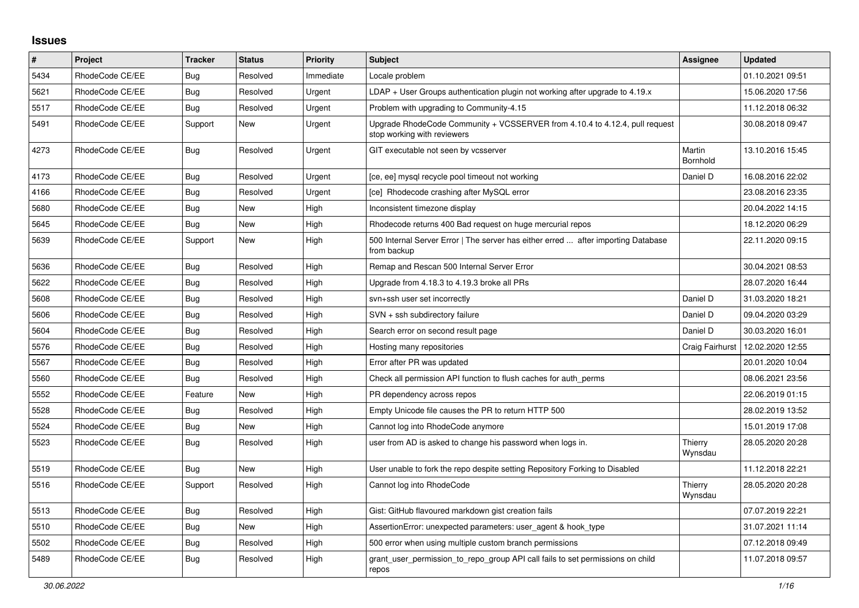## **Issues**

| #    | Project         | <b>Tracker</b> | <b>Status</b> | <b>Priority</b> | <b>Subject</b>                                                                                             | Assignee           | <b>Updated</b>   |
|------|-----------------|----------------|---------------|-----------------|------------------------------------------------------------------------------------------------------------|--------------------|------------------|
| 5434 | RhodeCode CE/EE | Bug            | Resolved      | Immediate       | Locale problem                                                                                             |                    | 01.10.2021 09:51 |
| 5621 | RhodeCode CE/EE | <b>Bug</b>     | Resolved      | Urgent          | $LDAP + User Groups$ authentication plugin not working after upgrade to 4.19. $x$                          |                    | 15.06.2020 17:56 |
| 5517 | RhodeCode CE/EE | Bug            | Resolved      | Urgent          | Problem with upgrading to Community-4.15                                                                   |                    | 11.12.2018 06:32 |
| 5491 | RhodeCode CE/EE | Support        | New           | Urgent          | Upgrade RhodeCode Community + VCSSERVER from 4.10.4 to 4.12.4, pull request<br>stop working with reviewers |                    | 30.08.2018 09:47 |
| 4273 | RhodeCode CE/EE | Bug            | Resolved      | Urgent          | GIT executable not seen by vcsserver                                                                       | Martin<br>Bornhold | 13.10.2016 15:45 |
| 4173 | RhodeCode CE/EE | <b>Bug</b>     | Resolved      | Urgent          | [ce, ee] mysql recycle pool timeout not working                                                            | Daniel D           | 16.08.2016 22:02 |
| 4166 | RhodeCode CE/EE | Bug            | Resolved      | Urgent          | [ce] Rhodecode crashing after MySQL error                                                                  |                    | 23.08.2016 23:35 |
| 5680 | RhodeCode CE/EE | Bug            | New           | High            | Inconsistent timezone display                                                                              |                    | 20.04.2022 14:15 |
| 5645 | RhodeCode CE/EE | Bug            | <b>New</b>    | High            | Rhodecode returns 400 Bad request on huge mercurial repos                                                  |                    | 18.12.2020 06:29 |
| 5639 | RhodeCode CE/EE | Support        | <b>New</b>    | High            | 500 Internal Server Error   The server has either erred  after importing Database<br>from backup           |                    | 22.11.2020 09:15 |
| 5636 | RhodeCode CE/EE | <b>Bug</b>     | Resolved      | High            | Remap and Rescan 500 Internal Server Error                                                                 |                    | 30.04.2021 08:53 |
| 5622 | RhodeCode CE/EE | <b>Bug</b>     | Resolved      | High            | Upgrade from 4.18.3 to 4.19.3 broke all PRs                                                                |                    | 28.07.2020 16:44 |
| 5608 | RhodeCode CE/EE | Bug            | Resolved      | High            | svn+ssh user set incorrectly                                                                               | Daniel D           | 31.03.2020 18:21 |
| 5606 | RhodeCode CE/EE | Bug            | Resolved      | High            | SVN + ssh subdirectory failure                                                                             | Daniel D           | 09.04.2020 03:29 |
| 5604 | RhodeCode CE/EE | Bug            | Resolved      | High            | Search error on second result page                                                                         | Daniel D           | 30.03.2020 16:01 |
| 5576 | RhodeCode CE/EE | Bug            | Resolved      | High            | Hosting many repositories                                                                                  | Craig Fairhurst    | 12.02.2020 12:55 |
| 5567 | RhodeCode CE/EE | Bug            | Resolved      | High            | Error after PR was updated                                                                                 |                    | 20.01.2020 10:04 |
| 5560 | RhodeCode CE/EE | <b>Bug</b>     | Resolved      | High            | Check all permission API function to flush caches for auth perms                                           |                    | 08.06.2021 23:56 |
| 5552 | RhodeCode CE/EE | Feature        | <b>New</b>    | High            | PR dependency across repos                                                                                 |                    | 22.06.2019 01:15 |
| 5528 | RhodeCode CE/EE | Bug            | Resolved      | High            | Empty Unicode file causes the PR to return HTTP 500                                                        |                    | 28.02.2019 13:52 |
| 5524 | RhodeCode CE/EE | Bug            | New           | High            | Cannot log into RhodeCode anymore                                                                          |                    | 15.01.2019 17:08 |
| 5523 | RhodeCode CE/EE | Bug            | Resolved      | High            | user from AD is asked to change his password when logs in.                                                 | Thierry<br>Wynsdau | 28.05.2020 20:28 |
| 5519 | RhodeCode CE/EE | Bug            | <b>New</b>    | High            | User unable to fork the repo despite setting Repository Forking to Disabled                                |                    | 11.12.2018 22:21 |
| 5516 | RhodeCode CE/EE | Support        | Resolved      | High            | Cannot log into RhodeCode                                                                                  | Thierry<br>Wynsdau | 28.05.2020 20:28 |
| 5513 | RhodeCode CE/EE | Bug            | Resolved      | High            | Gist: GitHub flavoured markdown gist creation fails                                                        |                    | 07.07.2019 22:21 |
| 5510 | RhodeCode CE/EE | Bug            | New           | High            | AssertionError: unexpected parameters: user agent & hook type                                              |                    | 31.07.2021 11:14 |
| 5502 | RhodeCode CE/EE | Bug            | Resolved      | High            | 500 error when using multiple custom branch permissions                                                    |                    | 07.12.2018 09:49 |
| 5489 | RhodeCode CE/EE | Bug            | Resolved      | High            | grant user permission to repo group API call fails to set permissions on child<br>repos                    |                    | 11.07.2018 09:57 |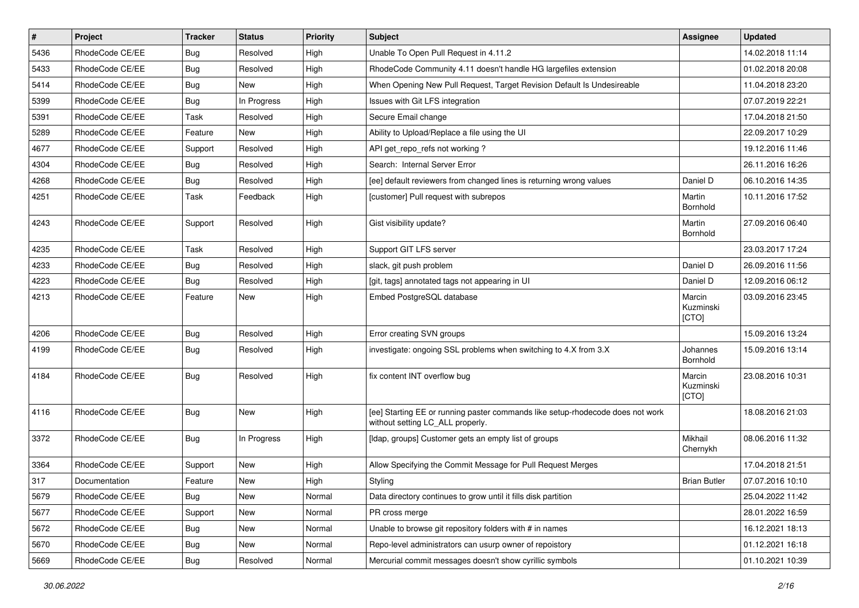| $\pmb{\#}$ | Project         | <b>Tracker</b> | <b>Status</b> | Priority | Subject                                                                                                            | <b>Assignee</b>              | <b>Updated</b>   |
|------------|-----------------|----------------|---------------|----------|--------------------------------------------------------------------------------------------------------------------|------------------------------|------------------|
| 5436       | RhodeCode CE/EE | Bug            | Resolved      | High     | Unable To Open Pull Request in 4.11.2                                                                              |                              | 14.02.2018 11:14 |
| 5433       | RhodeCode CE/EE | <b>Bug</b>     | Resolved      | High     | RhodeCode Community 4.11 doesn't handle HG largefiles extension                                                    |                              | 01.02.2018 20:08 |
| 5414       | RhodeCode CE/EE | Bug            | New           | High     | When Opening New Pull Request, Target Revision Default Is Undesireable                                             |                              | 11.04.2018 23:20 |
| 5399       | RhodeCode CE/EE | <b>Bug</b>     | In Progress   | High     | Issues with Git LFS integration                                                                                    |                              | 07.07.2019 22:21 |
| 5391       | RhodeCode CE/EE | Task           | Resolved      | High     | Secure Email change                                                                                                |                              | 17.04.2018 21:50 |
| 5289       | RhodeCode CE/EE | Feature        | <b>New</b>    | High     | Ability to Upload/Replace a file using the UI                                                                      |                              | 22.09.2017 10:29 |
| 4677       | RhodeCode CE/EE | Support        | Resolved      | High     | API get repo refs not working?                                                                                     |                              | 19.12.2016 11:46 |
| 4304       | RhodeCode CE/EE | Bug            | Resolved      | High     | Search: Internal Server Error                                                                                      |                              | 26.11.2016 16:26 |
| 4268       | RhodeCode CE/EE | Bug            | Resolved      | High     | [ee] default reviewers from changed lines is returning wrong values                                                | Daniel D                     | 06.10.2016 14:35 |
| 4251       | RhodeCode CE/EE | Task           | Feedback      | High     | [customer] Pull request with subrepos                                                                              | Martin<br>Bornhold           | 10.11.2016 17:52 |
| 4243       | RhodeCode CE/EE | Support        | Resolved      | High     | Gist visibility update?                                                                                            | Martin<br>Bornhold           | 27.09.2016 06:40 |
| 4235       | RhodeCode CE/EE | Task           | Resolved      | High     | Support GIT LFS server                                                                                             |                              | 23.03.2017 17:24 |
| 4233       | RhodeCode CE/EE | Bug            | Resolved      | High     | slack, git push problem                                                                                            | Daniel D                     | 26.09.2016 11:56 |
| 4223       | RhodeCode CE/EE | Bug            | Resolved      | High     | [git, tags] annotated tags not appearing in UI                                                                     | Daniel D                     | 12.09.2016 06:12 |
| 4213       | RhodeCode CE/EE | Feature        | New           | High     | Embed PostgreSQL database                                                                                          | Marcin<br>Kuzminski<br>[CTO] | 03.09.2016 23:45 |
| 4206       | RhodeCode CE/EE | Bug            | Resolved      | High     | Error creating SVN groups                                                                                          |                              | 15.09.2016 13:24 |
| 4199       | RhodeCode CE/EE | Bug            | Resolved      | High     | investigate: ongoing SSL problems when switching to 4.X from 3.X                                                   | Johannes<br>Bornhold         | 15.09.2016 13:14 |
| 4184       | RhodeCode CE/EE | Bug            | Resolved      | High     | fix content INT overflow bug                                                                                       | Marcin<br>Kuzminski<br>[CTO] | 23.08.2016 10:31 |
| 4116       | RhodeCode CE/EE | Bug            | New           | High     | [ee] Starting EE or running paster commands like setup-rhodecode does not work<br>without setting LC_ALL properly. |                              | 18.08.2016 21:03 |
| 3372       | RhodeCode CE/EE | Bug            | In Progress   | High     | [Idap, groups] Customer gets an empty list of groups                                                               | Mikhail<br>Chernykh          | 08.06.2016 11:32 |
| 3364       | RhodeCode CE/EE | Support        | New           | High     | Allow Specifying the Commit Message for Pull Request Merges                                                        |                              | 17.04.2018 21:51 |
| 317        | Documentation   | Feature        | New           | High     | Styling                                                                                                            | <b>Brian Butler</b>          | 07.07.2016 10:10 |
| 5679       | RhodeCode CE/EE | Bug            | New           | Normal   | Data directory continues to grow until it fills disk partition                                                     |                              | 25.04.2022 11:42 |
| 5677       | RhodeCode CE/EE | Support        | New           | Normal   | PR cross merge                                                                                                     |                              | 28.01.2022 16:59 |
| 5672       | RhodeCode CE/EE | <b>Bug</b>     | New           | Normal   | Unable to browse git repository folders with # in names                                                            |                              | 16.12.2021 18:13 |
| 5670       | RhodeCode CE/EE | Bug            | New           | Normal   | Repo-level administrators can usurp owner of repoistory                                                            |                              | 01.12.2021 16:18 |
| 5669       | RhodeCode CE/EE | <b>Bug</b>     | Resolved      | Normal   | Mercurial commit messages doesn't show cyrillic symbols                                                            |                              | 01.10.2021 10:39 |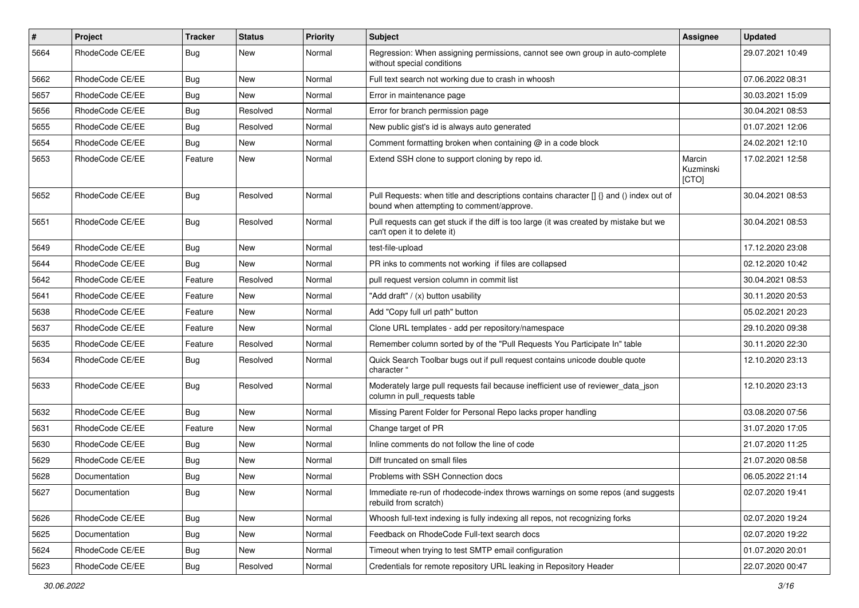| $\pmb{\#}$ | Project         | <b>Tracker</b> | <b>Status</b> | <b>Priority</b> | Subject                                                                                                                              | Assignee                     | <b>Updated</b>   |
|------------|-----------------|----------------|---------------|-----------------|--------------------------------------------------------------------------------------------------------------------------------------|------------------------------|------------------|
| 5664       | RhodeCode CE/EE | Bug            | New           | Normal          | Regression: When assigning permissions, cannot see own group in auto-complete<br>without special conditions                          |                              | 29.07.2021 10:49 |
| 5662       | RhodeCode CE/EE | Bug            | New           | Normal          | Full text search not working due to crash in whoosh                                                                                  |                              | 07.06.2022 08:31 |
| 5657       | RhodeCode CE/EE | <b>Bug</b>     | New           | Normal          | Error in maintenance page                                                                                                            |                              | 30.03.2021 15:09 |
| 5656       | RhodeCode CE/EE | Bug            | Resolved      | Normal          | Error for branch permission page                                                                                                     |                              | 30.04.2021 08:53 |
| 5655       | RhodeCode CE/EE | <b>Bug</b>     | Resolved      | Normal          | New public gist's id is always auto generated                                                                                        |                              | 01.07.2021 12:06 |
| 5654       | RhodeCode CE/EE | Bug            | New           | Normal          | Comment formatting broken when containing @ in a code block                                                                          |                              | 24.02.2021 12:10 |
| 5653       | RhodeCode CE/EE | Feature        | <b>New</b>    | Normal          | Extend SSH clone to support cloning by repo id.                                                                                      | Marcin<br>Kuzminski<br>[CTO] | 17.02.2021 12:58 |
| 5652       | RhodeCode CE/EE | Bug            | Resolved      | Normal          | Pull Requests: when title and descriptions contains character [] {} and () index out of<br>bound when attempting to comment/approve. |                              | 30.04.2021 08:53 |
| 5651       | RhodeCode CE/EE | <b>Bug</b>     | Resolved      | Normal          | Pull requests can get stuck if the diff is too large (it was created by mistake but we<br>can't open it to delete it)                |                              | 30.04.2021 08:53 |
| 5649       | RhodeCode CE/EE | Bug            | New           | Normal          | test-file-upload                                                                                                                     |                              | 17.12.2020 23:08 |
| 5644       | RhodeCode CE/EE | Bug            | New           | Normal          | PR inks to comments not working if files are collapsed                                                                               |                              | 02.12.2020 10:42 |
| 5642       | RhodeCode CE/EE | Feature        | Resolved      | Normal          | pull request version column in commit list                                                                                           |                              | 30.04.2021 08:53 |
| 5641       | RhodeCode CE/EE | Feature        | New           | Normal          | "Add draft" / (x) button usability                                                                                                   |                              | 30.11.2020 20:53 |
| 5638       | RhodeCode CE/EE | Feature        | New           | Normal          | Add "Copy full url path" button                                                                                                      |                              | 05.02.2021 20:23 |
| 5637       | RhodeCode CE/EE | Feature        | <b>New</b>    | Normal          | Clone URL templates - add per repository/namespace                                                                                   |                              | 29.10.2020 09:38 |
| 5635       | RhodeCode CE/EE | Feature        | Resolved      | Normal          | Remember column sorted by of the "Pull Requests You Participate In" table                                                            |                              | 30.11.2020 22:30 |
| 5634       | RhodeCode CE/EE | Bug            | Resolved      | Normal          | Quick Search Toolbar bugs out if pull request contains unicode double quote<br>character "                                           |                              | 12.10.2020 23:13 |
| 5633       | RhodeCode CE/EE | Bug            | Resolved      | Normal          | Moderately large pull requests fail because inefficient use of reviewer_data_json<br>column in pull requests table                   |                              | 12.10.2020 23:13 |
| 5632       | RhodeCode CE/EE | Bug            | <b>New</b>    | Normal          | Missing Parent Folder for Personal Repo lacks proper handling                                                                        |                              | 03.08.2020 07:56 |
| 5631       | RhodeCode CE/EE | Feature        | New           | Normal          | Change target of PR                                                                                                                  |                              | 31.07.2020 17:05 |
| 5630       | RhodeCode CE/EE | Bug            | <b>New</b>    | Normal          | Inline comments do not follow the line of code                                                                                       |                              | 21.07.2020 11:25 |
| 5629       | RhodeCode CE/EE | Bug            | <b>New</b>    | Normal          | Diff truncated on small files                                                                                                        |                              | 21.07.2020 08:58 |
| 5628       | Documentation   | <b>Bug</b>     | New           | Normal          | Problems with SSH Connection docs                                                                                                    |                              | 06.05.2022 21:14 |
| 5627       | Documentation   | <b>Bug</b>     | New           | Normal          | Immediate re-run of rhodecode-index throws warnings on some repos (and suggests<br>rebuild from scratch)                             |                              | 02.07.2020 19:41 |
| 5626       | RhodeCode CE/EE | Bug            | New           | Normal          | Whoosh full-text indexing is fully indexing all repos, not recognizing forks                                                         |                              | 02.07.2020 19:24 |
| 5625       | Documentation   | Bug            | New           | Normal          | Feedback on RhodeCode Full-text search docs                                                                                          |                              | 02.07.2020 19:22 |
| 5624       | RhodeCode CE/EE | <b>Bug</b>     | New           | Normal          | Timeout when trying to test SMTP email configuration                                                                                 |                              | 01.07.2020 20:01 |
| 5623       | RhodeCode CE/EE | Bug            | Resolved      | Normal          | Credentials for remote repository URL leaking in Repository Header                                                                   |                              | 22.07.2020 00:47 |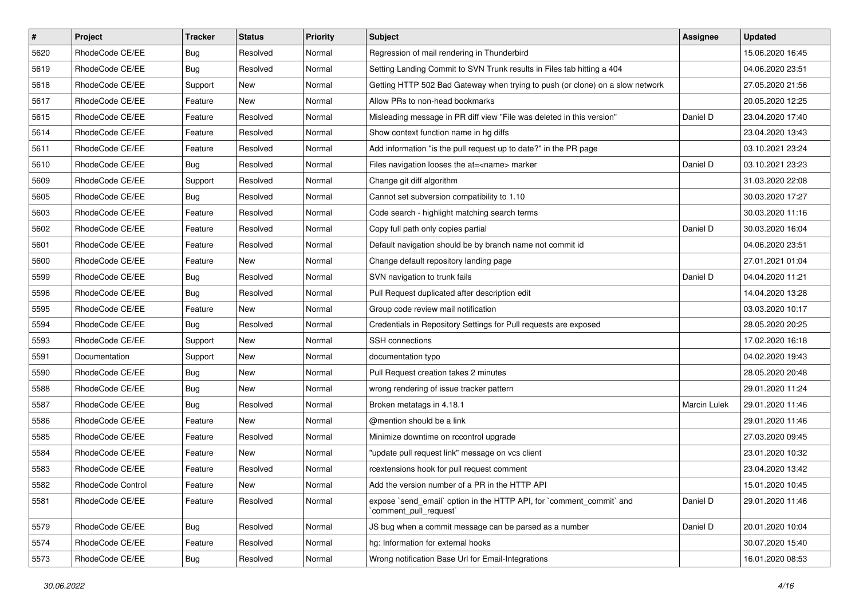| $\vert$ # | Project           | Tracker    | <b>Status</b> | <b>Priority</b> | <b>Subject</b>                                                                                 | <b>Assignee</b> | <b>Updated</b>   |
|-----------|-------------------|------------|---------------|-----------------|------------------------------------------------------------------------------------------------|-----------------|------------------|
| 5620      | RhodeCode CE/EE   | <b>Bug</b> | Resolved      | Normal          | Regression of mail rendering in Thunderbird                                                    |                 | 15.06.2020 16:45 |
| 5619      | RhodeCode CE/EE   | Bug        | Resolved      | Normal          | Setting Landing Commit to SVN Trunk results in Files tab hitting a 404                         |                 | 04.06.2020 23:51 |
| 5618      | RhodeCode CE/EE   | Support    | New           | Normal          | Getting HTTP 502 Bad Gateway when trying to push (or clone) on a slow network                  |                 | 27.05.2020 21:56 |
| 5617      | RhodeCode CE/EE   | Feature    | New           | Normal          | Allow PRs to non-head bookmarks                                                                |                 | 20.05.2020 12:25 |
| 5615      | RhodeCode CE/EE   | Feature    | Resolved      | Normal          | Misleading message in PR diff view "File was deleted in this version"                          | Daniel D        | 23.04.2020 17:40 |
| 5614      | RhodeCode CE/EE   | Feature    | Resolved      | Normal          | Show context function name in hg diffs                                                         |                 | 23.04.2020 13:43 |
| 5611      | RhodeCode CE/EE   | Feature    | Resolved      | Normal          | Add information "is the pull request up to date?" in the PR page                               |                 | 03.10.2021 23:24 |
| 5610      | RhodeCode CE/EE   | Bug        | Resolved      | Normal          | Files navigation looses the at= <name> marker</name>                                           | Daniel D        | 03.10.2021 23:23 |
| 5609      | RhodeCode CE/EE   | Support    | Resolved      | Normal          | Change git diff algorithm                                                                      |                 | 31.03.2020 22:08 |
| 5605      | RhodeCode CE/EE   | <b>Bug</b> | Resolved      | Normal          | Cannot set subversion compatibility to 1.10                                                    |                 | 30.03.2020 17:27 |
| 5603      | RhodeCode CE/EE   | Feature    | Resolved      | Normal          | Code search - highlight matching search terms                                                  |                 | 30.03.2020 11:16 |
| 5602      | RhodeCode CE/EE   | Feature    | Resolved      | Normal          | Copy full path only copies partial                                                             | Daniel D        | 30.03.2020 16:04 |
| 5601      | RhodeCode CE/EE   | Feature    | Resolved      | Normal          | Default navigation should be by branch name not commit id                                      |                 | 04.06.2020 23:51 |
| 5600      | RhodeCode CE/EE   | Feature    | New           | Normal          | Change default repository landing page                                                         |                 | 27.01.2021 01:04 |
| 5599      | RhodeCode CE/EE   | <b>Bug</b> | Resolved      | Normal          | SVN navigation to trunk fails                                                                  | Daniel D        | 04.04.2020 11:21 |
| 5596      | RhodeCode CE/EE   | Bug        | Resolved      | Normal          | Pull Request duplicated after description edit                                                 |                 | 14.04.2020 13:28 |
| 5595      | RhodeCode CE/EE   | Feature    | New           | Normal          | Group code review mail notification                                                            |                 | 03.03.2020 10:17 |
| 5594      | RhodeCode CE/EE   | <b>Bug</b> | Resolved      | Normal          | Credentials in Repository Settings for Pull requests are exposed                               |                 | 28.05.2020 20:25 |
| 5593      | RhodeCode CE/EE   | Support    | New           | Normal          | <b>SSH</b> connections                                                                         |                 | 17.02.2020 16:18 |
| 5591      | Documentation     | Support    | New           | Normal          | documentation typo                                                                             |                 | 04.02.2020 19:43 |
| 5590      | RhodeCode CE/EE   | <b>Bug</b> | New           | Normal          | Pull Request creation takes 2 minutes                                                          |                 | 28.05.2020 20:48 |
| 5588      | RhodeCode CE/EE   | <b>Bug</b> | New           | Normal          | wrong rendering of issue tracker pattern                                                       |                 | 29.01.2020 11:24 |
| 5587      | RhodeCode CE/EE   | Bug        | Resolved      | Normal          | Broken metatags in 4.18.1                                                                      | Marcin Lulek    | 29.01.2020 11:46 |
| 5586      | RhodeCode CE/EE   | Feature    | <b>New</b>    | Normal          | @mention should be a link                                                                      |                 | 29.01.2020 11:46 |
| 5585      | RhodeCode CE/EE   | Feature    | Resolved      | Normal          | Minimize downtime on rccontrol upgrade                                                         |                 | 27.03.2020 09:45 |
| 5584      | RhodeCode CE/EE   | Feature    | New           | Normal          | "update pull request link" message on vcs client                                               |                 | 23.01.2020 10:32 |
| 5583      | RhodeCode CE/EE   | Feature    | Resolved      | Normal          | rcextensions hook for pull request comment                                                     |                 | 23.04.2020 13:42 |
| 5582      | RhodeCode Control | Feature    | New           | Normal          | Add the version number of a PR in the HTTP API                                                 |                 | 15.01.2020 10:45 |
| 5581      | RhodeCode CE/EE   | Feature    | Resolved      | Normal          | expose `send_email` option in the HTTP API, for `comment_commit` and<br>`comment_pull_request` | Daniel D        | 29.01.2020 11:46 |
| 5579      | RhodeCode CE/EE   | Bug        | Resolved      | Normal          | JS bug when a commit message can be parsed as a number                                         | Daniel D        | 20.01.2020 10:04 |
| 5574      | RhodeCode CE/EE   | Feature    | Resolved      | Normal          | ha: Information for external hooks                                                             |                 | 30.07.2020 15:40 |
| 5573      | RhodeCode CE/EE   | Bug        | Resolved      | Normal          | Wrong notification Base Url for Email-Integrations                                             |                 | 16.01.2020 08:53 |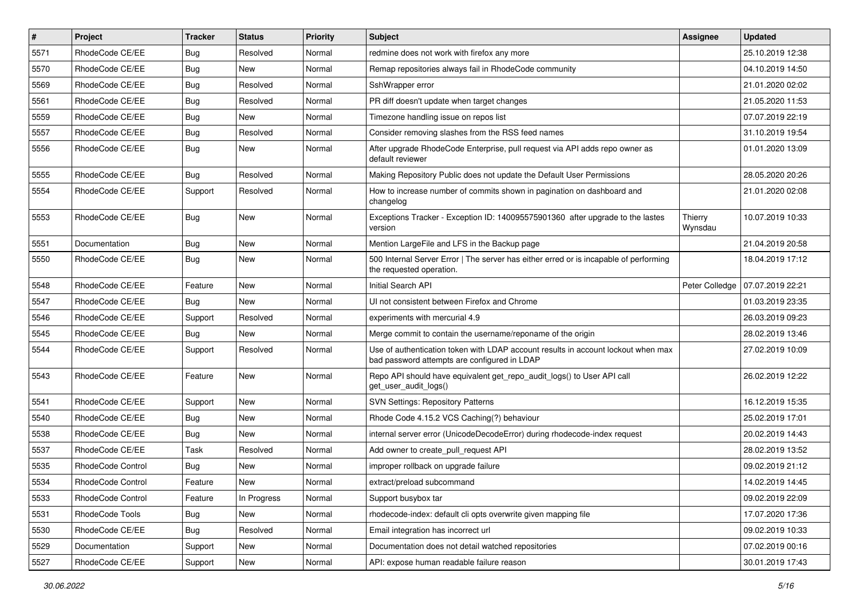| $\sharp$ | Project           | <b>Tracker</b> | <b>Status</b> | <b>Priority</b> | <b>Subject</b>                                                                                                                    | Assignee           | <b>Updated</b>   |
|----------|-------------------|----------------|---------------|-----------------|-----------------------------------------------------------------------------------------------------------------------------------|--------------------|------------------|
| 5571     | RhodeCode CE/EE   | Bug            | Resolved      | Normal          | redmine does not work with firefox any more                                                                                       |                    | 25.10.2019 12:38 |
| 5570     | RhodeCode CE/EE   | <b>Bug</b>     | New           | Normal          | Remap repositories always fail in RhodeCode community                                                                             |                    | 04.10.2019 14:50 |
| 5569     | RhodeCode CE/EE   | <b>Bug</b>     | Resolved      | Normal          | SshWrapper error                                                                                                                  |                    | 21.01.2020 02:02 |
| 5561     | RhodeCode CE/EE   | <b>Bug</b>     | Resolved      | Normal          | PR diff doesn't update when target changes                                                                                        |                    | 21.05.2020 11:53 |
| 5559     | RhodeCode CE/EE   | <b>Bug</b>     | <b>New</b>    | Normal          | Timezone handling issue on repos list                                                                                             |                    | 07.07.2019 22:19 |
| 5557     | RhodeCode CE/EE   | <b>Bug</b>     | Resolved      | Normal          | Consider removing slashes from the RSS feed names                                                                                 |                    | 31.10.2019 19:54 |
| 5556     | RhodeCode CE/EE   | <b>Bug</b>     | New           | Normal          | After upgrade RhodeCode Enterprise, pull request via API adds repo owner as<br>default reviewer                                   |                    | 01.01.2020 13:09 |
| 5555     | RhodeCode CE/EE   | Bug            | Resolved      | Normal          | Making Repository Public does not update the Default User Permissions                                                             |                    | 28.05.2020 20:26 |
| 5554     | RhodeCode CE/EE   | Support        | Resolved      | Normal          | How to increase number of commits shown in pagination on dashboard and<br>changelog                                               |                    | 21.01.2020 02:08 |
| 5553     | RhodeCode CE/EE   | Bug            | New           | Normal          | Exceptions Tracker - Exception ID: 140095575901360 after upgrade to the lastes<br>version                                         | Thierry<br>Wynsdau | 10.07.2019 10:33 |
| 5551     | Documentation     | Bug            | New           | Normal          | Mention LargeFile and LFS in the Backup page                                                                                      |                    | 21.04.2019 20:58 |
| 5550     | RhodeCode CE/EE   | Bug            | New           | Normal          | 500 Internal Server Error   The server has either erred or is incapable of performing<br>the requested operation.                 |                    | 18.04.2019 17:12 |
| 5548     | RhodeCode CE/EE   | Feature        | <b>New</b>    | Normal          | Initial Search API                                                                                                                | Peter Colledge     | 07.07.2019 22:21 |
| 5547     | RhodeCode CE/EE   | Bug            | <b>New</b>    | Normal          | UI not consistent between Firefox and Chrome                                                                                      |                    | 01.03.2019 23:35 |
| 5546     | RhodeCode CE/EE   | Support        | Resolved      | Normal          | experiments with mercurial 4.9                                                                                                    |                    | 26.03.2019 09:23 |
| 5545     | RhodeCode CE/EE   | <b>Bug</b>     | New           | Normal          | Merge commit to contain the username/reponame of the origin                                                                       |                    | 28.02.2019 13:46 |
| 5544     | RhodeCode CE/EE   | Support        | Resolved      | Normal          | Use of authentication token with LDAP account results in account lockout when max<br>bad password attempts are configured in LDAP |                    | 27.02.2019 10:09 |
| 5543     | RhodeCode CE/EE   | Feature        | New           | Normal          | Repo API should have equivalent get_repo_audit_logs() to User API call<br>get_user_audit_logs()                                   |                    | 26.02.2019 12:22 |
| 5541     | RhodeCode CE/EE   | Support        | New           | Normal          | <b>SVN Settings: Repository Patterns</b>                                                                                          |                    | 16.12.2019 15:35 |
| 5540     | RhodeCode CE/EE   | Bug            | New           | Normal          | Rhode Code 4.15.2 VCS Caching(?) behaviour                                                                                        |                    | 25.02.2019 17:01 |
| 5538     | RhodeCode CE/EE   | Bug            | New           | Normal          | internal server error (UnicodeDecodeError) during rhodecode-index request                                                         |                    | 20.02.2019 14:43 |
| 5537     | RhodeCode CE/EE   | Task           | Resolved      | Normal          | Add owner to create pull request API                                                                                              |                    | 28.02.2019 13:52 |
| 5535     | RhodeCode Control | <b>Bug</b>     | <b>New</b>    | Normal          | improper rollback on upgrade failure                                                                                              |                    | 09.02.2019 21:12 |
| 5534     | RhodeCode Control | Feature        | New           | Normal          | extract/preload subcommand                                                                                                        |                    | 14.02.2019 14:45 |
| 5533     | RhodeCode Control | Feature        | In Progress   | Normal          | Support busybox tar                                                                                                               |                    | 09.02.2019 22:09 |
| 5531     | RhodeCode Tools   | <b>Bug</b>     | New           | Normal          | rhodecode-index: default cli opts overwrite given mapping file                                                                    |                    | 17.07.2020 17:36 |
| 5530     | RhodeCode CE/EE   | Bug            | Resolved      | Normal          | Email integration has incorrect url                                                                                               |                    | 09.02.2019 10:33 |
| 5529     | Documentation     | Support        | <b>New</b>    | Normal          | Documentation does not detail watched repositories                                                                                |                    | 07.02.2019 00:16 |
| 5527     | RhodeCode CE/EE   | Support        | New           | Normal          | API: expose human readable failure reason                                                                                         |                    | 30.01.2019 17:43 |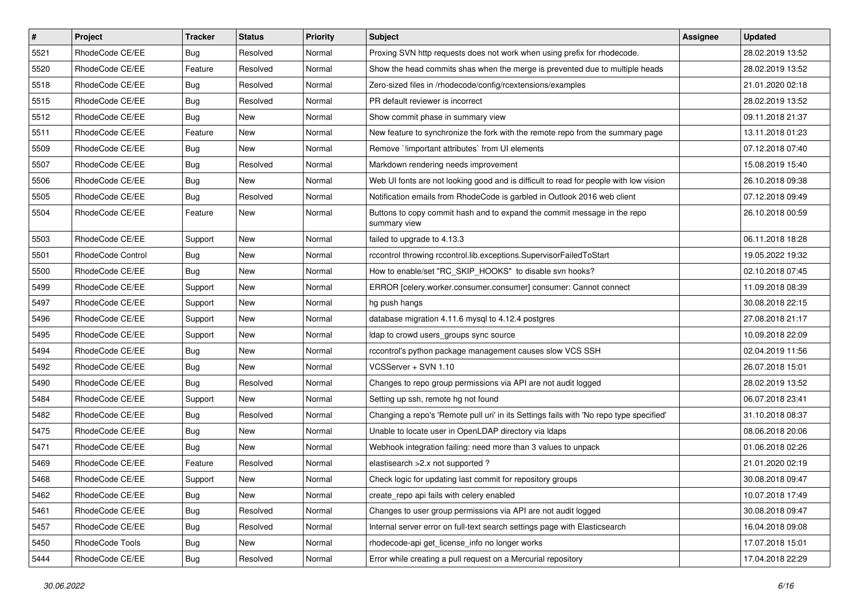| $\vert$ # | Project           | <b>Tracker</b> | <b>Status</b> | <b>Priority</b> | Subject                                                                                  | <b>Assignee</b> | <b>Updated</b>   |
|-----------|-------------------|----------------|---------------|-----------------|------------------------------------------------------------------------------------------|-----------------|------------------|
| 5521      | RhodeCode CE/EE   | <b>Bug</b>     | Resolved      | Normal          | Proxing SVN http requests does not work when using prefix for rhodecode.                 |                 | 28.02.2019 13:52 |
| 5520      | RhodeCode CE/EE   | Feature        | Resolved      | Normal          | Show the head commits shas when the merge is prevented due to multiple heads             |                 | 28.02.2019 13:52 |
| 5518      | RhodeCode CE/EE   | <b>Bug</b>     | Resolved      | Normal          | Zero-sized files in /rhodecode/config/rcextensions/examples                              |                 | 21.01.2020 02:18 |
| 5515      | RhodeCode CE/EE   | <b>Bug</b>     | Resolved      | Normal          | PR default reviewer is incorrect                                                         |                 | 28.02.2019 13:52 |
| 5512      | RhodeCode CE/EE   | <b>Bug</b>     | New           | Normal          | Show commit phase in summary view                                                        |                 | 09.11.2018 21:37 |
| 5511      | RhodeCode CE/EE   | Feature        | New           | Normal          | New feature to synchronize the fork with the remote repo from the summary page           |                 | 13.11.2018 01:23 |
| 5509      | RhodeCode CE/EE   | <b>Bug</b>     | New           | Normal          | Remove `!important attributes` from UI elements                                          |                 | 07.12.2018 07:40 |
| 5507      | RhodeCode CE/EE   | <b>Bug</b>     | Resolved      | Normal          | Markdown rendering needs improvement                                                     |                 | 15.08.2019 15:40 |
| 5506      | RhodeCode CE/EE   | <b>Bug</b>     | New           | Normal          | Web UI fonts are not looking good and is difficult to read for people with low vision    |                 | 26.10.2018 09:38 |
| 5505      | RhodeCode CE/EE   | <b>Bug</b>     | Resolved      | Normal          | Notification emails from RhodeCode is garbled in Outlook 2016 web client                 |                 | 07.12.2018 09:49 |
| 5504      | RhodeCode CE/EE   | Feature        | New           | Normal          | Buttons to copy commit hash and to expand the commit message in the repo<br>summary view |                 | 26.10.2018 00:59 |
| 5503      | RhodeCode CE/EE   | Support        | New           | Normal          | failed to upgrade to 4.13.3                                                              |                 | 06.11.2018 18:28 |
| 5501      | RhodeCode Control | Bug            | New           | Normal          | rccontrol throwing rccontrol.lib.exceptions.SupervisorFailedToStart                      |                 | 19.05.2022 19:32 |
| 5500      | RhodeCode CE/EE   | Bug            | New           | Normal          | How to enable/set "RC_SKIP_HOOKS" to disable svn hooks?                                  |                 | 02.10.2018 07:45 |
| 5499      | RhodeCode CE/EE   | Support        | New           | Normal          | ERROR [celery.worker.consumer.consumer] consumer: Cannot connect                         |                 | 11.09.2018 08:39 |
| 5497      | RhodeCode CE/EE   | Support        | New           | Normal          | hg push hangs                                                                            |                 | 30.08.2018 22:15 |
| 5496      | RhodeCode CE/EE   | Support        | New           | Normal          | database migration 4.11.6 mysql to 4.12.4 postgres                                       |                 | 27.08.2018 21:17 |
| 5495      | RhodeCode CE/EE   | Support        | New           | Normal          | Idap to crowd users_groups sync source                                                   |                 | 10.09.2018 22:09 |
| 5494      | RhodeCode CE/EE   | <b>Bug</b>     | New           | Normal          | rccontrol's python package management causes slow VCS SSH                                |                 | 02.04.2019 11:56 |
| 5492      | RhodeCode CE/EE   | <b>Bug</b>     | <b>New</b>    | Normal          | VCSServer + SVN 1.10                                                                     |                 | 26.07.2018 15:01 |
| 5490      | RhodeCode CE/EE   | <b>Bug</b>     | Resolved      | Normal          | Changes to repo group permissions via API are not audit logged                           |                 | 28.02.2019 13:52 |
| 5484      | RhodeCode CE/EE   | Support        | <b>New</b>    | Normal          | Setting up ssh, remote hg not found                                                      |                 | 06.07.2018 23:41 |
| 5482      | RhodeCode CE/EE   | Bug            | Resolved      | Normal          | Changing a repo's 'Remote pull uri' in its Settings fails with 'No repo type specified'  |                 | 31.10.2018 08:37 |
| 5475      | RhodeCode CE/EE   | <b>Bug</b>     | New           | Normal          | Unable to locate user in OpenLDAP directory via Idaps                                    |                 | 08.06.2018 20:06 |
| 5471      | RhodeCode CE/EE   | <b>Bug</b>     | New           | Normal          | Webhook integration failing: need more than 3 values to unpack                           |                 | 01.06.2018 02:26 |
| 5469      | RhodeCode CE/EE   | Feature        | Resolved      | Normal          | elastisearch > 2.x not supported ?                                                       |                 | 21.01.2020 02:19 |
| 5468      | RhodeCode CE/EE   | Support        | New           | Normal          | Check logic for updating last commit for repository groups                               |                 | 30.08.2018 09:47 |
| 5462      | RhodeCode CE/EE   | Bug            | New           | Normal          | create repo api fails with celery enabled                                                |                 | 10.07.2018 17:49 |
| 5461      | RhodeCode CE/EE   | Bug            | Resolved      | Normal          | Changes to user group permissions via API are not audit logged                           |                 | 30.08.2018 09:47 |
| 5457      | RhodeCode CE/EE   | <b>Bug</b>     | Resolved      | Normal          | Internal server error on full-text search settings page with Elasticsearch               |                 | 16.04.2018 09:08 |
| 5450      | RhodeCode Tools   | Bug            | New           | Normal          | rhodecode-api get license info no longer works                                           |                 | 17.07.2018 15:01 |
| 5444      | RhodeCode CE/EE   | <b>Bug</b>     | Resolved      | Normal          | Error while creating a pull request on a Mercurial repository                            |                 | 17.04.2018 22:29 |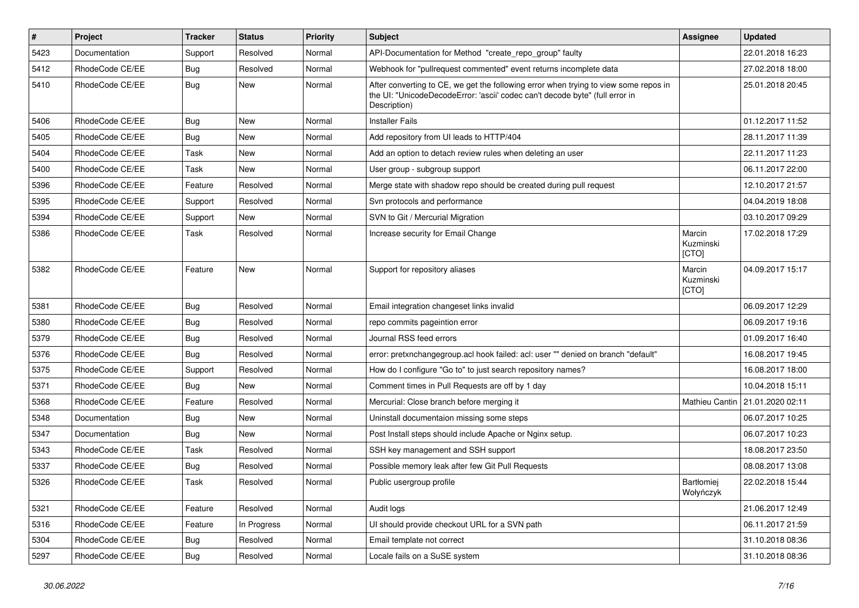| $\pmb{\#}$ | <b>Project</b>  | <b>Tracker</b> | <b>Status</b> | <b>Priority</b> | Subject                                                                                                                                                                              | Assignee                       | <b>Updated</b>                    |
|------------|-----------------|----------------|---------------|-----------------|--------------------------------------------------------------------------------------------------------------------------------------------------------------------------------------|--------------------------------|-----------------------------------|
| 5423       | Documentation   | Support        | Resolved      | Normal          | API-Documentation for Method "create_repo_group" faulty                                                                                                                              |                                | 22.01.2018 16:23                  |
| 5412       | RhodeCode CE/EE | Bug            | Resolved      | Normal          | Webhook for "pullrequest commented" event returns incomplete data                                                                                                                    |                                | 27.02.2018 18:00                  |
| 5410       | RhodeCode CE/EE | Bug            | <b>New</b>    | Normal          | After converting to CE, we get the following error when trying to view some repos in<br>the UI: "UnicodeDecodeError: 'ascii' codec can't decode byte" (full error in<br>Description) |                                | 25.01.2018 20:45                  |
| 5406       | RhodeCode CE/EE | Bug            | New           | Normal          | <b>Installer Fails</b>                                                                                                                                                               |                                | 01.12.2017 11:52                  |
| 5405       | RhodeCode CE/EE | Bug            | New           | Normal          | Add repository from UI leads to HTTP/404                                                                                                                                             |                                | 28.11.2017 11:39                  |
| 5404       | RhodeCode CE/EE | Task           | New           | Normal          | Add an option to detach review rules when deleting an user                                                                                                                           |                                | 22.11.2017 11:23                  |
| 5400       | RhodeCode CE/EE | Task           | <b>New</b>    | Normal          | User group - subgroup support                                                                                                                                                        |                                | 06.11.2017 22:00                  |
| 5396       | RhodeCode CE/EE | Feature        | Resolved      | Normal          | Merge state with shadow repo should be created during pull request                                                                                                                   |                                | 12.10.2017 21:57                  |
| 5395       | RhodeCode CE/EE | Support        | Resolved      | Normal          | Svn protocols and performance                                                                                                                                                        |                                | 04.04.2019 18:08                  |
| 5394       | RhodeCode CE/EE | Support        | New           | Normal          | SVN to Git / Mercurial Migration                                                                                                                                                     |                                | 03.10.2017 09:29                  |
| 5386       | RhodeCode CE/EE | Task           | Resolved      | Normal          | Increase security for Email Change                                                                                                                                                   | Marcin<br>Kuzminski<br>[CTO]   | 17.02.2018 17:29                  |
| 5382       | RhodeCode CE/EE | Feature        | <b>New</b>    | Normal          | Support for repository aliases                                                                                                                                                       | Marcin<br>Kuzminski<br>[CTO]   | 04.09.2017 15:17                  |
| 5381       | RhodeCode CE/EE | Bug            | Resolved      | Normal          | Email integration changeset links invalid                                                                                                                                            |                                | 06.09.2017 12:29                  |
| 5380       | RhodeCode CE/EE | Bug            | Resolved      | Normal          | repo commits pageintion error                                                                                                                                                        |                                | 06.09.2017 19:16                  |
| 5379       | RhodeCode CE/EE | Bug            | Resolved      | Normal          | Journal RSS feed errors                                                                                                                                                              |                                | 01.09.2017 16:40                  |
| 5376       | RhodeCode CE/EE | Bug            | Resolved      | Normal          | error: pretxnchangegroup.acl hook failed: acl: user "" denied on branch "default"                                                                                                    |                                | 16.08.2017 19:45                  |
| 5375       | RhodeCode CE/EE | Support        | Resolved      | Normal          | How do I configure "Go to" to just search repository names?                                                                                                                          |                                | 16.08.2017 18:00                  |
| 5371       | RhodeCode CE/EE | <b>Bug</b>     | <b>New</b>    | Normal          | Comment times in Pull Requests are off by 1 day                                                                                                                                      |                                | 10.04.2018 15:11                  |
| 5368       | RhodeCode CE/EE | Feature        | Resolved      | Normal          | Mercurial: Close branch before merging it                                                                                                                                            |                                | Mathieu Cantin   21.01.2020 02:11 |
| 5348       | Documentation   | Bug            | <b>New</b>    | Normal          | Uninstall documentaion missing some steps                                                                                                                                            |                                | 06.07.2017 10:25                  |
| 5347       | Documentation   | Bug            | New           | Normal          | Post Install steps should include Apache or Nginx setup.                                                                                                                             |                                | 06.07.2017 10:23                  |
| 5343       | RhodeCode CE/EE | Task           | Resolved      | Normal          | SSH key management and SSH support                                                                                                                                                   |                                | 18.08.2017 23:50                  |
| 5337       | RhodeCode CE/EE | Bug            | Resolved      | Normal          | Possible memory leak after few Git Pull Requests                                                                                                                                     |                                | 08.08.2017 13:08                  |
| 5326       | RhodeCode CE/EE | Task           | Resolved      | Normal          | Public usergroup profile                                                                                                                                                             | <b>Bartłomiei</b><br>Wołyńczyk | 22.02.2018 15:44                  |
| 5321       | RhodeCode CE/EE | Feature        | Resolved      | Normal          | Audit logs                                                                                                                                                                           |                                | 21.06.2017 12:49                  |
| 5316       | RhodeCode CE/EE | Feature        | In Progress   | Normal          | UI should provide checkout URL for a SVN path                                                                                                                                        |                                | 06.11.2017 21:59                  |
| 5304       | RhodeCode CE/EE | <b>Bug</b>     | Resolved      | Normal          | Email template not correct                                                                                                                                                           |                                | 31.10.2018 08:36                  |
| 5297       | RhodeCode CE/EE | Bug            | Resolved      | Normal          | Locale fails on a SuSE system                                                                                                                                                        |                                | 31.10.2018 08:36                  |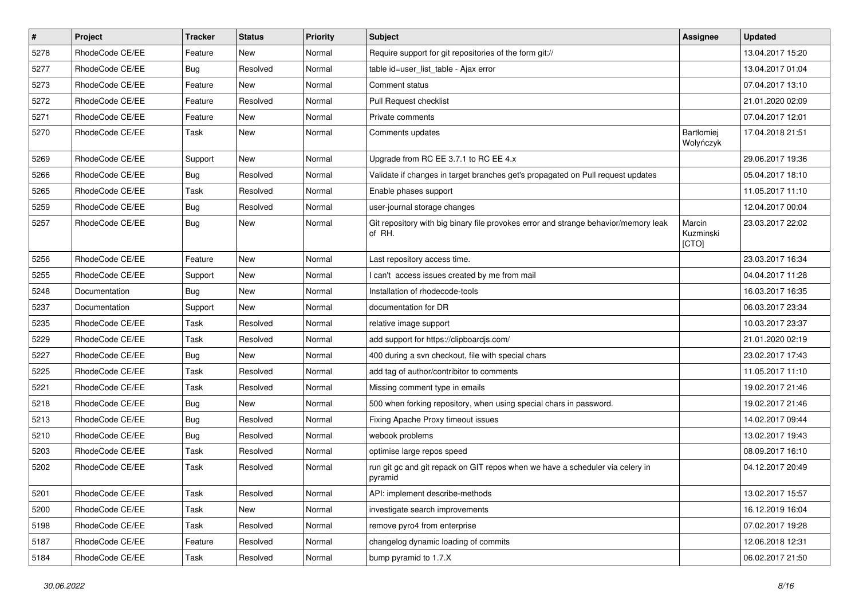| $\pmb{\#}$ | Project         | <b>Tracker</b> | <b>Status</b> | <b>Priority</b> | Subject                                                                                       | <b>Assignee</b>              | <b>Updated</b>   |
|------------|-----------------|----------------|---------------|-----------------|-----------------------------------------------------------------------------------------------|------------------------------|------------------|
| 5278       | RhodeCode CE/EE | Feature        | New           | Normal          | Require support for git repositories of the form git://                                       |                              | 13.04.2017 15:20 |
| 5277       | RhodeCode CE/EE | Bug            | Resolved      | Normal          | table id=user_list_table - Ajax error                                                         |                              | 13.04.2017 01:04 |
| 5273       | RhodeCode CE/EE | Feature        | <b>New</b>    | Normal          | Comment status                                                                                |                              | 07.04.2017 13:10 |
| 5272       | RhodeCode CE/EE | Feature        | Resolved      | Normal          | Pull Request checklist                                                                        |                              | 21.01.2020 02:09 |
| 5271       | RhodeCode CE/EE | Feature        | <b>New</b>    | Normal          | Private comments                                                                              |                              | 07.04.2017 12:01 |
| 5270       | RhodeCode CE/EE | Task           | New           | Normal          | Comments updates                                                                              | Bartłomiej<br>Wołyńczyk      | 17.04.2018 21:51 |
| 5269       | RhodeCode CE/EE | Support        | <b>New</b>    | Normal          | Upgrade from RC EE 3.7.1 to RC EE 4.x                                                         |                              | 29.06.2017 19:36 |
| 5266       | RhodeCode CE/EE | Bug            | Resolved      | Normal          | Validate if changes in target branches get's propagated on Pull request updates               |                              | 05.04.2017 18:10 |
| 5265       | RhodeCode CE/EE | Task           | Resolved      | Normal          | Enable phases support                                                                         |                              | 11.05.2017 11:10 |
| 5259       | RhodeCode CE/EE | Bug            | Resolved      | Normal          | user-journal storage changes                                                                  |                              | 12.04.2017 00:04 |
| 5257       | RhodeCode CE/EE | Bug            | New           | Normal          | Git repository with big binary file provokes error and strange behavior/memory leak<br>of RH. | Marcin<br>Kuzminski<br>[CTO] | 23.03.2017 22:02 |
| 5256       | RhodeCode CE/EE | Feature        | <b>New</b>    | Normal          | Last repository access time.                                                                  |                              | 23.03.2017 16:34 |
| 5255       | RhodeCode CE/EE | Support        | New           | Normal          | I can't access issues created by me from mail                                                 |                              | 04.04.2017 11:28 |
| 5248       | Documentation   | Bug            | <b>New</b>    | Normal          | Installation of rhodecode-tools                                                               |                              | 16.03.2017 16:35 |
| 5237       | Documentation   | Support        | <b>New</b>    | Normal          | documentation for DR                                                                          |                              | 06.03.2017 23:34 |
| 5235       | RhodeCode CE/EE | Task           | Resolved      | Normal          | relative image support                                                                        |                              | 10.03.2017 23:37 |
| 5229       | RhodeCode CE/EE | Task           | Resolved      | Normal          | add support for https://clipboardjs.com/                                                      |                              | 21.01.2020 02:19 |
| 5227       | RhodeCode CE/EE | Bug            | New           | Normal          | 400 during a svn checkout, file with special chars                                            |                              | 23.02.2017 17:43 |
| 5225       | RhodeCode CE/EE | Task           | Resolved      | Normal          | add tag of author/contribitor to comments                                                     |                              | 11.05.2017 11:10 |
| 5221       | RhodeCode CE/EE | Task           | Resolved      | Normal          | Missing comment type in emails                                                                |                              | 19.02.2017 21:46 |
| 5218       | RhodeCode CE/EE | Bug            | New           | Normal          | 500 when forking repository, when using special chars in password.                            |                              | 19.02.2017 21:46 |
| 5213       | RhodeCode CE/EE | Bug            | Resolved      | Normal          | Fixing Apache Proxy timeout issues                                                            |                              | 14.02.2017 09:44 |
| 5210       | RhodeCode CE/EE | Bug            | Resolved      | Normal          | webook problems                                                                               |                              | 13.02.2017 19:43 |
| 5203       | RhodeCode CE/EE | Task           | Resolved      | Normal          | optimise large repos speed                                                                    |                              | 08.09.2017 16:10 |
| 5202       | RhodeCode CE/EE | Task           | Resolved      | Normal          | run git gc and git repack on GIT repos when we have a scheduler via celery in<br>pyramid      |                              | 04.12.2017 20:49 |
| 5201       | RhodeCode CE/EE | Task           | Resolved      | Normal          | API: implement describe-methods                                                               |                              | 13.02.2017 15:57 |
| 5200       | RhodeCode CE/EE | Task           | New           | Normal          | investigate search improvements                                                               |                              | 16.12.2019 16:04 |
| 5198       | RhodeCode CE/EE | Task           | Resolved      | Normal          | remove pyro4 from enterprise                                                                  |                              | 07.02.2017 19:28 |
| 5187       | RhodeCode CE/EE | Feature        | Resolved      | Normal          | changelog dynamic loading of commits                                                          |                              | 12.06.2018 12:31 |
| 5184       | RhodeCode CE/EE | Task           | Resolved      | Normal          | bump pyramid to 1.7.X                                                                         |                              | 06.02.2017 21:50 |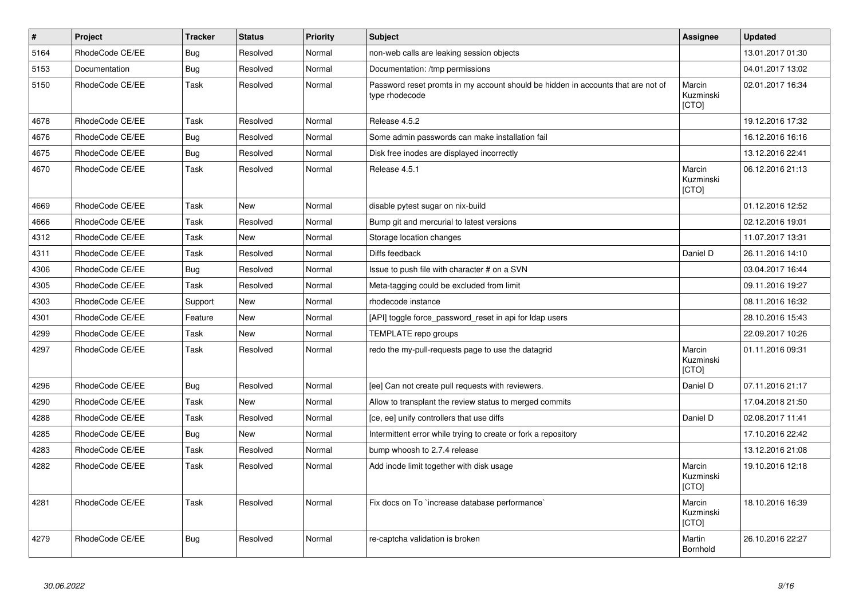| $\sharp$ | Project         | <b>Tracker</b> | <b>Status</b> | <b>Priority</b> | <b>Subject</b>                                                                                     | Assignee                     | <b>Updated</b>   |
|----------|-----------------|----------------|---------------|-----------------|----------------------------------------------------------------------------------------------------|------------------------------|------------------|
| 5164     | RhodeCode CE/EE | Bug            | Resolved      | Normal          | non-web calls are leaking session objects                                                          |                              | 13.01.2017 01:30 |
| 5153     | Documentation   | Bug            | Resolved      | Normal          | Documentation: /tmp permissions                                                                    |                              | 04.01.2017 13:02 |
| 5150     | RhodeCode CE/EE | Task           | Resolved      | Normal          | Password reset promts in my account should be hidden in accounts that are not of<br>type rhodecode | Marcin<br>Kuzminski<br>[CTO] | 02.01.2017 16:34 |
| 4678     | RhodeCode CE/EE | Task           | Resolved      | Normal          | Release 4.5.2                                                                                      |                              | 19.12.2016 17:32 |
| 4676     | RhodeCode CE/EE | Bug            | Resolved      | Normal          | Some admin passwords can make installation fail                                                    |                              | 16.12.2016 16:16 |
| 4675     | RhodeCode CE/EE | Bug            | Resolved      | Normal          | Disk free inodes are displayed incorrectly                                                         |                              | 13.12.2016 22:41 |
| 4670     | RhodeCode CE/EE | Task           | Resolved      | Normal          | Release 4.5.1                                                                                      | Marcin<br>Kuzminski<br>[CTO] | 06.12.2016 21:13 |
| 4669     | RhodeCode CE/EE | Task           | <b>New</b>    | Normal          | disable pytest sugar on nix-build                                                                  |                              | 01.12.2016 12:52 |
| 4666     | RhodeCode CE/EE | Task           | Resolved      | Normal          | Bump git and mercurial to latest versions                                                          |                              | 02.12.2016 19:01 |
| 4312     | RhodeCode CE/EE | Task           | New           | Normal          | Storage location changes                                                                           |                              | 11.07.2017 13:31 |
| 4311     | RhodeCode CE/EE | Task           | Resolved      | Normal          | Diffs feedback                                                                                     | Daniel D                     | 26.11.2016 14:10 |
| 4306     | RhodeCode CE/EE | Bug            | Resolved      | Normal          | Issue to push file with character # on a SVN                                                       |                              | 03.04.2017 16:44 |
| 4305     | RhodeCode CE/EE | Task           | Resolved      | Normal          | Meta-tagging could be excluded from limit                                                          |                              | 09.11.2016 19:27 |
| 4303     | RhodeCode CE/EE | Support        | <b>New</b>    | Normal          | rhodecode instance                                                                                 |                              | 08.11.2016 16:32 |
| 4301     | RhodeCode CE/EE | Feature        | New           | Normal          | [API] toggle force_password_reset in api for Idap users                                            |                              | 28.10.2016 15:43 |
| 4299     | RhodeCode CE/EE | Task           | New           | Normal          | TEMPLATE repo groups                                                                               |                              | 22.09.2017 10:26 |
| 4297     | RhodeCode CE/EE | Task           | Resolved      | Normal          | redo the my-pull-requests page to use the datagrid                                                 | Marcin<br>Kuzminski<br>[CTO] | 01.11.2016 09:31 |
| 4296     | RhodeCode CE/EE | <b>Bug</b>     | Resolved      | Normal          | [ee] Can not create pull requests with reviewers.                                                  | Daniel D                     | 07.11.2016 21:17 |
| 4290     | RhodeCode CE/EE | Task           | <b>New</b>    | Normal          | Allow to transplant the review status to merged commits                                            |                              | 17.04.2018 21:50 |
| 4288     | RhodeCode CE/EE | Task           | Resolved      | Normal          | [ce, ee] unify controllers that use diffs                                                          | Daniel D                     | 02.08.2017 11:41 |
| 4285     | RhodeCode CE/EE | Bug            | <b>New</b>    | Normal          | Intermittent error while trying to create or fork a repository                                     |                              | 17.10.2016 22:42 |
| 4283     | RhodeCode CE/EE | Task           | Resolved      | Normal          | bump whoosh to 2.7.4 release                                                                       |                              | 13.12.2016 21:08 |
| 4282     | RhodeCode CE/EE | Task           | Resolved      | Normal          | Add inode limit together with disk usage                                                           | Marcin<br>Kuzminski<br>[CTO] | 19.10.2016 12:18 |
| 4281     | RhodeCode CE/EE | Task           | Resolved      | Normal          | Fix docs on To `increase database performance`                                                     | Marcin<br>Kuzminski<br>[CTO] | 18.10.2016 16:39 |
| 4279     | RhodeCode CE/EE | Bug            | Resolved      | Normal          | re-captcha validation is broken                                                                    | Martin<br>Bornhold           | 26.10.2016 22:27 |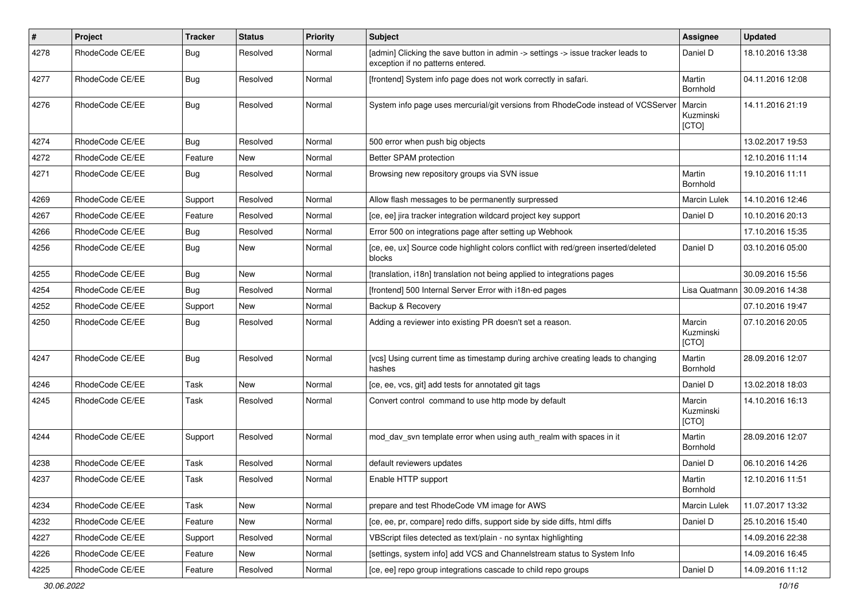| $\pmb{\#}$ | Project         | <b>Tracker</b> | <b>Status</b> | <b>Priority</b> | <b>Subject</b>                                                                                                       | <b>Assignee</b>              | <b>Updated</b>   |
|------------|-----------------|----------------|---------------|-----------------|----------------------------------------------------------------------------------------------------------------------|------------------------------|------------------|
| 4278       | RhodeCode CE/EE | Bug            | Resolved      | Normal          | [admin] Clicking the save button in admin -> settings -> issue tracker leads to<br>exception if no patterns entered. | Daniel D                     | 18.10.2016 13:38 |
| 4277       | RhodeCode CE/EE | Bug            | Resolved      | Normal          | [frontend] System info page does not work correctly in safari.                                                       | Martin<br>Bornhold           | 04.11.2016 12:08 |
| 4276       | RhodeCode CE/EE | Bug            | Resolved      | Normal          | System info page uses mercurial/git versions from RhodeCode instead of VCSServer                                     | Marcin<br>Kuzminski<br>[CTO] | 14.11.2016 21:19 |
| 4274       | RhodeCode CE/EE | Bug            | Resolved      | Normal          | 500 error when push big objects                                                                                      |                              | 13.02.2017 19:53 |
| 4272       | RhodeCode CE/EE | Feature        | New           | Normal          | Better SPAM protection                                                                                               |                              | 12.10.2016 11:14 |
| 4271       | RhodeCode CE/EE | Bug            | Resolved      | Normal          | Browsing new repository groups via SVN issue                                                                         | Martin<br>Bornhold           | 19.10.2016 11:11 |
| 4269       | RhodeCode CE/EE | Support        | Resolved      | Normal          | Allow flash messages to be permanently surpressed                                                                    | <b>Marcin Lulek</b>          | 14.10.2016 12:46 |
| 4267       | RhodeCode CE/EE | Feature        | Resolved      | Normal          | [ce, ee] jira tracker integration wildcard project key support                                                       | Daniel D                     | 10.10.2016 20:13 |
| 4266       | RhodeCode CE/EE | Bug            | Resolved      | Normal          | Error 500 on integrations page after setting up Webhook                                                              |                              | 17.10.2016 15:35 |
| 4256       | RhodeCode CE/EE | Bug            | New           | Normal          | [ce, ee, ux] Source code highlight colors conflict with red/green inserted/deleted<br>blocks                         | Daniel D                     | 03.10.2016 05:00 |
| 4255       | RhodeCode CE/EE | Bug            | <b>New</b>    | Normal          | [translation, i18n] translation not being applied to integrations pages                                              |                              | 30.09.2016 15:56 |
| 4254       | RhodeCode CE/EE | Bug            | Resolved      | Normal          | [frontend] 500 Internal Server Error with i18n-ed pages                                                              | Lisa Quatmann                | 30.09.2016 14:38 |
| 4252       | RhodeCode CE/EE | Support        | New           | Normal          | Backup & Recovery                                                                                                    |                              | 07.10.2016 19:47 |
| 4250       | RhodeCode CE/EE | Bug            | Resolved      | Normal          | Adding a reviewer into existing PR doesn't set a reason.                                                             | Marcin<br>Kuzminski<br>[CTO] | 07.10.2016 20:05 |
| 4247       | RhodeCode CE/EE | Bug            | Resolved      | Normal          | [vcs] Using current time as timestamp during archive creating leads to changing<br>hashes                            | Martin<br>Bornhold           | 28.09.2016 12:07 |
| 4246       | RhodeCode CE/EE | Task           | New           | Normal          | [ce, ee, vcs, git] add tests for annotated git tags                                                                  | Daniel D                     | 13.02.2018 18:03 |
| 4245       | RhodeCode CE/EE | Task           | Resolved      | Normal          | Convert control command to use http mode by default                                                                  | Marcin<br>Kuzminski<br>[CTO] | 14.10.2016 16:13 |
| 4244       | RhodeCode CE/EE | Support        | Resolved      | Normal          | mod day syn template error when using auth realm with spaces in it                                                   | Martin<br>Bornhold           | 28.09.2016 12:07 |
| 4238       | RhodeCode CE/EE | Task           | Resolved      | Normal          | default reviewers updates                                                                                            | Daniel D                     | 06.10.2016 14:26 |
| 4237       | RhodeCode CE/EE | Task           | Resolved      | Normal          | Enable HTTP support                                                                                                  | Martin<br>Bornhold           | 12.10.2016 11:51 |
| 4234       | RhodeCode CE/EE | Task           | New           | Normal          | prepare and test RhodeCode VM image for AWS                                                                          | Marcin Lulek                 | 11.07.2017 13:32 |
| 4232       | RhodeCode CE/EE | Feature        | New           | Normal          | [ce, ee, pr, compare] redo diffs, support side by side diffs, html diffs                                             | Daniel D                     | 25.10.2016 15:40 |
| 4227       | RhodeCode CE/EE | Support        | Resolved      | Normal          | VBScript files detected as text/plain - no syntax highlighting                                                       |                              | 14.09.2016 22:38 |
| 4226       | RhodeCode CE/EE | Feature        | New           | Normal          | [settings, system info] add VCS and Channelstream status to System Info                                              |                              | 14.09.2016 16:45 |
| 4225       | RhodeCode CE/EE | Feature        | Resolved      | Normal          | [ce, ee] repo group integrations cascade to child repo groups                                                        | Daniel D                     | 14.09.2016 11:12 |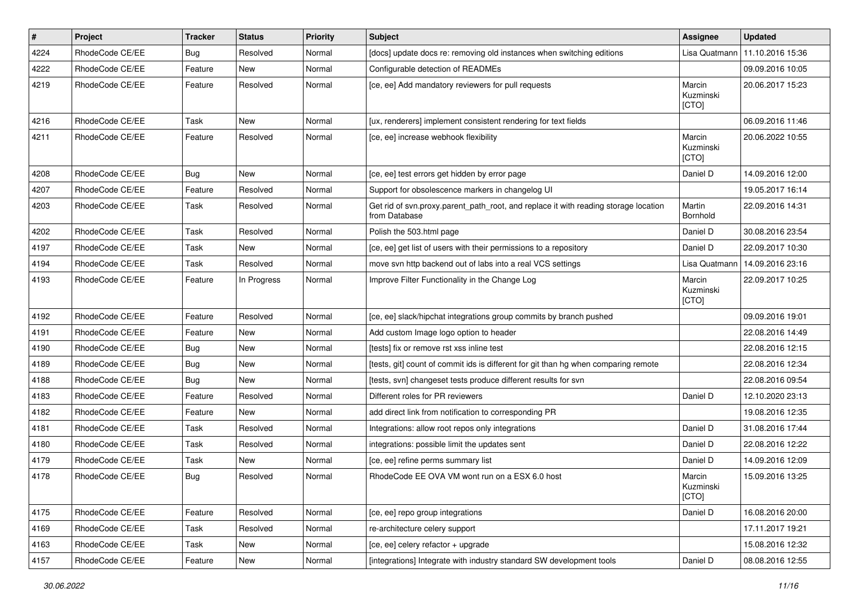| $\vert$ # | Project         | <b>Tracker</b> | <b>Status</b> | <b>Priority</b> | Subject                                                                                              | <b>Assignee</b>              | <b>Updated</b>   |
|-----------|-----------------|----------------|---------------|-----------------|------------------------------------------------------------------------------------------------------|------------------------------|------------------|
| 4224      | RhodeCode CE/EE | Bug            | Resolved      | Normal          | [docs] update docs re: removing old instances when switching editions                                | Lisa Quatmann                | 11.10.2016 15:36 |
| 4222      | RhodeCode CE/EE | Feature        | <b>New</b>    | Normal          | Configurable detection of READMEs                                                                    |                              | 09.09.2016 10:05 |
| 4219      | RhodeCode CE/EE | Feature        | Resolved      | Normal          | [ce, ee] Add mandatory reviewers for pull requests                                                   | Marcin<br>Kuzminski<br>[CTO] | 20.06.2017 15:23 |
| 4216      | RhodeCode CE/EE | Task           | <b>New</b>    | Normal          | [ux, renderers] implement consistent rendering for text fields                                       |                              | 06.09.2016 11:46 |
| 4211      | RhodeCode CE/EE | Feature        | Resolved      | Normal          | [ce, ee] increase webhook flexibility                                                                | Marcin<br>Kuzminski<br>[CTO] | 20.06.2022 10:55 |
| 4208      | RhodeCode CE/EE | Bug            | <b>New</b>    | Normal          | [ce, ee] test errors get hidden by error page                                                        | Daniel D                     | 14.09.2016 12:00 |
| 4207      | RhodeCode CE/EE | Feature        | Resolved      | Normal          | Support for obsolescence markers in changelog UI                                                     |                              | 19.05.2017 16:14 |
| 4203      | RhodeCode CE/EE | Task           | Resolved      | Normal          | Get rid of svn.proxy.parent_path_root, and replace it with reading storage location<br>from Database | Martin<br>Bornhold           | 22.09.2016 14:31 |
| 4202      | RhodeCode CE/EE | Task           | Resolved      | Normal          | Polish the 503.html page                                                                             | Daniel D                     | 30.08.2016 23:54 |
| 4197      | RhodeCode CE/EE | Task           | New           | Normal          | [ce, ee] get list of users with their permissions to a repository                                    | Daniel D                     | 22.09.2017 10:30 |
| 4194      | RhodeCode CE/EE | Task           | Resolved      | Normal          | move svn http backend out of labs into a real VCS settings                                           | Lisa Quatmann                | 14.09.2016 23:16 |
| 4193      | RhodeCode CE/EE | Feature        | In Progress   | Normal          | Improve Filter Functionality in the Change Log                                                       | Marcin<br>Kuzminski<br>[CTO] | 22.09.2017 10:25 |
| 4192      | RhodeCode CE/EE | Feature        | Resolved      | Normal          | [ce, ee] slack/hipchat integrations group commits by branch pushed                                   |                              | 09.09.2016 19:01 |
| 4191      | RhodeCode CE/EE | Feature        | <b>New</b>    | Normal          | Add custom Image logo option to header                                                               |                              | 22.08.2016 14:49 |
| 4190      | RhodeCode CE/EE | <b>Bug</b>     | New           | Normal          | [tests] fix or remove rst xss inline test                                                            |                              | 22.08.2016 12:15 |
| 4189      | RhodeCode CE/EE | Bug            | New           | Normal          | [tests, git] count of commit ids is different for git than hg when comparing remote                  |                              | 22.08.2016 12:34 |
| 4188      | RhodeCode CE/EE | Bug            | <b>New</b>    | Normal          | [tests, svn] changeset tests produce different results for svn                                       |                              | 22.08.2016 09:54 |
| 4183      | RhodeCode CE/EE | Feature        | Resolved      | Normal          | Different roles for PR reviewers                                                                     | Daniel D                     | 12.10.2020 23:13 |
| 4182      | RhodeCode CE/EE | Feature        | <b>New</b>    | Normal          | add direct link from notification to corresponding PR                                                |                              | 19.08.2016 12:35 |
| 4181      | RhodeCode CE/EE | Task           | Resolved      | Normal          | Integrations: allow root repos only integrations                                                     | Daniel D                     | 31.08.2016 17:44 |
| 4180      | RhodeCode CE/EE | Task           | Resolved      | Normal          | integrations: possible limit the updates sent                                                        | Daniel D                     | 22.08.2016 12:22 |
| 4179      | RhodeCode CE/EE | Task           | <b>New</b>    | Normal          | [ce, ee] refine perms summary list                                                                   | Daniel D                     | 14.09.2016 12:09 |
| 4178      | RhodeCode CE/EE | Bug            | Resolved      | Normal          | RhodeCode EE OVA VM wont run on a ESX 6.0 host                                                       | Marcin<br>Kuzminski<br>[CTO] | 15.09.2016 13:25 |
| 4175      | RhodeCode CE/EE | Feature        | Resolved      | Normal          | [ce, ee] repo group integrations                                                                     | Daniel D                     | 16.08.2016 20:00 |
| 4169      | RhodeCode CE/EE | Task           | Resolved      | Normal          | re-architecture celery support                                                                       |                              | 17.11.2017 19:21 |
| 4163      | RhodeCode CE/EE | Task           | New           | Normal          | [ce, ee] celery refactor + upgrade                                                                   |                              | 15.08.2016 12:32 |
| 4157      | RhodeCode CE/EE | Feature        | New           | Normal          | [integrations] Integrate with industry standard SW development tools                                 | Daniel D                     | 08.08.2016 12:55 |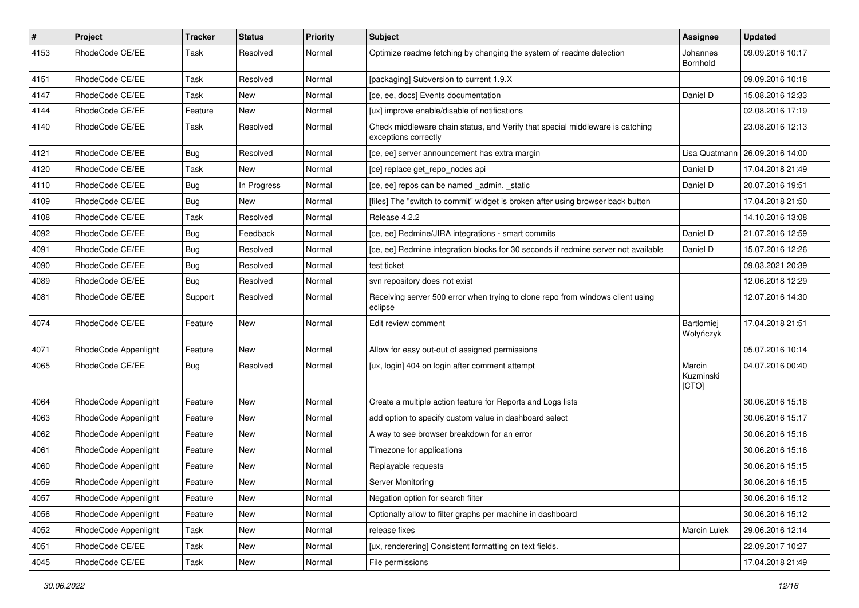| $\vert$ # | Project              | Tracker    | <b>Status</b> | <b>Priority</b> | Subject                                                                                               | <b>Assignee</b>              | <b>Updated</b>   |
|-----------|----------------------|------------|---------------|-----------------|-------------------------------------------------------------------------------------------------------|------------------------------|------------------|
| 4153      | RhodeCode CE/EE      | Task       | Resolved      | Normal          | Optimize readme fetching by changing the system of readme detection                                   | Johannes<br>Bornhold         | 09.09.2016 10:17 |
| 4151      | RhodeCode CE/EE      | Task       | Resolved      | Normal          | [packaging] Subversion to current 1.9.X                                                               |                              | 09.09.2016 10:18 |
| 4147      | RhodeCode CE/EE      | Task       | New           | Normal          | [ce, ee, docs] Events documentation                                                                   | Daniel D                     | 15.08.2016 12:33 |
| 4144      | RhodeCode CE/EE      | Feature    | <b>New</b>    | Normal          | [ux] improve enable/disable of notifications                                                          |                              | 02.08.2016 17:19 |
| 4140      | RhodeCode CE/EE      | Task       | Resolved      | Normal          | Check middleware chain status, and Verify that special middleware is catching<br>exceptions correctly |                              | 23.08.2016 12:13 |
| 4121      | RhodeCode CE/EE      | <b>Bug</b> | Resolved      | Normal          | [ce, ee] server announcement has extra margin                                                         | Lisa Quatmann                | 26.09.2016 14:00 |
| 4120      | RhodeCode CE/EE      | Task       | New           | Normal          | [ce] replace get_repo_nodes api                                                                       | Daniel D                     | 17.04.2018 21:49 |
| 4110      | RhodeCode CE/EE      | Bug        | In Progress   | Normal          | [ce, ee] repos can be named _admin, _static                                                           | Daniel D                     | 20.07.2016 19:51 |
| 4109      | RhodeCode CE/EE      | Bug        | New           | Normal          | [files] The "switch to commit" widget is broken after using browser back button                       |                              | 17.04.2018 21:50 |
| 4108      | RhodeCode CE/EE      | Task       | Resolved      | Normal          | Release 4.2.2                                                                                         |                              | 14.10.2016 13:08 |
| 4092      | RhodeCode CE/EE      | <b>Bug</b> | Feedback      | Normal          | [ce, ee] Redmine/JIRA integrations - smart commits                                                    | Daniel D                     | 21.07.2016 12:59 |
| 4091      | RhodeCode CE/EE      | <b>Bug</b> | Resolved      | Normal          | [ce, ee] Redmine integration blocks for 30 seconds if redmine server not available                    | Daniel D                     | 15.07.2016 12:26 |
| 4090      | RhodeCode CE/EE      | <b>Bug</b> | Resolved      | Normal          | test ticket                                                                                           |                              | 09.03.2021 20:39 |
| 4089      | RhodeCode CE/EE      | Bug        | Resolved      | Normal          | svn repository does not exist                                                                         |                              | 12.06.2018 12:29 |
| 4081      | RhodeCode CE/EE      | Support    | Resolved      | Normal          | Receiving server 500 error when trying to clone repo from windows client using<br>eclipse             |                              | 12.07.2016 14:30 |
| 4074      | RhodeCode CE/EE      | Feature    | New           | Normal          | Edit review comment                                                                                   | Bartłomiej<br>Wołyńczyk      | 17.04.2018 21:51 |
| 4071      | RhodeCode Appenlight | Feature    | <b>New</b>    | Normal          | Allow for easy out-out of assigned permissions                                                        |                              | 05.07.2016 10:14 |
| 4065      | RhodeCode CE/EE      | <b>Bug</b> | Resolved      | Normal          | [ux, login] 404 on login after comment attempt                                                        | Marcin<br>Kuzminski<br>[CTO] | 04.07.2016 00:40 |
| 4064      | RhodeCode Appenlight | Feature    | New           | Normal          | Create a multiple action feature for Reports and Logs lists                                           |                              | 30.06.2016 15:18 |
| 4063      | RhodeCode Appenlight | Feature    | New           | Normal          | add option to specify custom value in dashboard select                                                |                              | 30.06.2016 15:17 |
| 4062      | RhodeCode Appenlight | Feature    | New           | Normal          | A way to see browser breakdown for an error                                                           |                              | 30.06.2016 15:16 |
| 4061      | RhodeCode Appenlight | Feature    | New           | Normal          | Timezone for applications                                                                             |                              | 30.06.2016 15:16 |
| 4060      | RhodeCode Appenlight | Feature    | New           | Normal          | Replayable requests                                                                                   |                              | 30.06.2016 15:15 |
| 4059      | RhodeCode Appenlight | Feature    | New           | Normal          | Server Monitoring                                                                                     |                              | 30.06.2016 15:15 |
| 4057      | RhodeCode Appenlight | Feature    | New           | Normal          | Negation option for search filter                                                                     |                              | 30.06.2016 15:12 |
| 4056      | RhodeCode Appenlight | Feature    | New           | Normal          | Optionally allow to filter graphs per machine in dashboard                                            |                              | 30.06.2016 15:12 |
| 4052      | RhodeCode Appenlight | Task       | New           | Normal          | release fixes                                                                                         | Marcin Lulek                 | 29.06.2016 12:14 |
| 4051      | RhodeCode CE/EE      | Task       | New           | Normal          | [ux, renderering] Consistent formatting on text fields.                                               |                              | 22.09.2017 10:27 |
| 4045      | RhodeCode CE/EE      | Task       | New           | Normal          | File permissions                                                                                      |                              | 17.04.2018 21:49 |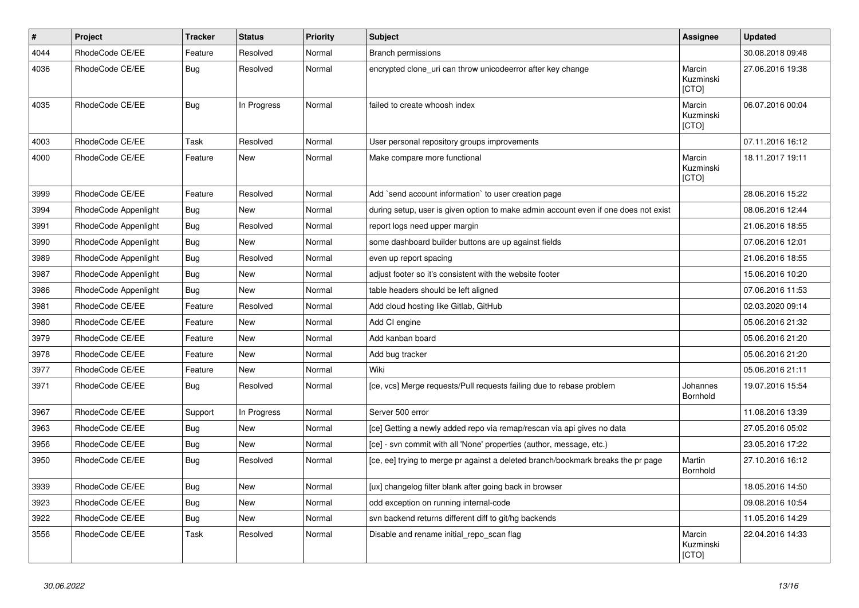| $\pmb{\#}$ | Project              | <b>Tracker</b> | <b>Status</b> | <b>Priority</b> | Subject                                                                             | Assignee                     | <b>Updated</b>   |
|------------|----------------------|----------------|---------------|-----------------|-------------------------------------------------------------------------------------|------------------------------|------------------|
| 4044       | RhodeCode CE/EE      | Feature        | Resolved      | Normal          | <b>Branch permissions</b>                                                           |                              | 30.08.2018 09:48 |
| 4036       | RhodeCode CE/EE      | Bug            | Resolved      | Normal          | encrypted clone_uri can throw unicodeerror after key change                         | Marcin<br>Kuzminski<br>[CTO] | 27.06.2016 19:38 |
| 4035       | RhodeCode CE/EE      | <b>Bug</b>     | In Progress   | Normal          | failed to create whoosh index                                                       | Marcin<br>Kuzminski<br>[CTO] | 06.07.2016 00:04 |
| 4003       | RhodeCode CE/EE      | Task           | Resolved      | Normal          | User personal repository groups improvements                                        |                              | 07.11.2016 16:12 |
| 4000       | RhodeCode CE/EE      | Feature        | New           | Normal          | Make compare more functional                                                        | Marcin<br>Kuzminski<br>[CTO] | 18.11.2017 19:11 |
| 3999       | RhodeCode CE/EE      | Feature        | Resolved      | Normal          | Add `send account information` to user creation page                                |                              | 28.06.2016 15:22 |
| 3994       | RhodeCode Appenlight | Bug            | <b>New</b>    | Normal          | during setup, user is given option to make admin account even if one does not exist |                              | 08.06.2016 12:44 |
| 3991       | RhodeCode Appenlight | Bug            | Resolved      | Normal          | report logs need upper margin                                                       |                              | 21.06.2016 18:55 |
| 3990       | RhodeCode Appenlight | Bug            | New           | Normal          | some dashboard builder buttons are up against fields                                |                              | 07.06.2016 12:01 |
| 3989       | RhodeCode Appenlight | <b>Bug</b>     | Resolved      | Normal          | even up report spacing                                                              |                              | 21.06.2016 18:55 |
| 3987       | RhodeCode Appenlight | Bug            | New           | Normal          | adjust footer so it's consistent with the website footer                            |                              | 15.06.2016 10:20 |
| 3986       | RhodeCode Appenlight | Bug            | <b>New</b>    | Normal          | table headers should be left aligned                                                |                              | 07.06.2016 11:53 |
| 3981       | RhodeCode CE/EE      | Feature        | Resolved      | Normal          | Add cloud hosting like Gitlab, GitHub                                               |                              | 02.03.2020 09:14 |
| 3980       | RhodeCode CE/EE      | Feature        | New           | Normal          | Add CI engine                                                                       |                              | 05.06.2016 21:32 |
| 3979       | RhodeCode CE/EE      | Feature        | <b>New</b>    | Normal          | Add kanban board                                                                    |                              | 05.06.2016 21:20 |
| 3978       | RhodeCode CE/EE      | Feature        | New           | Normal          | Add bug tracker                                                                     |                              | 05.06.2016 21:20 |
| 3977       | RhodeCode CE/EE      | Feature        | New           | Normal          | Wiki                                                                                |                              | 05.06.2016 21:11 |
| 3971       | RhodeCode CE/EE      | Bug            | Resolved      | Normal          | [ce, vcs] Merge requests/Pull requests failing due to rebase problem                | Johannes<br>Bornhold         | 19.07.2016 15:54 |
| 3967       | RhodeCode CE/EE      | Support        | In Progress   | Normal          | Server 500 error                                                                    |                              | 11.08.2016 13:39 |
| 3963       | RhodeCode CE/EE      | Bug            | New           | Normal          | [ce] Getting a newly added repo via remap/rescan via api gives no data              |                              | 27.05.2016 05:02 |
| 3956       | RhodeCode CE/EE      | <b>Bug</b>     | New           | Normal          | [ce] - svn commit with all 'None' properties (author, message, etc.)                |                              | 23.05.2016 17:22 |
| 3950       | RhodeCode CE/EE      | <b>Bug</b>     | Resolved      | Normal          | [ce, ee] trying to merge pr against a deleted branch/bookmark breaks the pr page    | Martin<br>Bornhold           | 27.10.2016 16:12 |
| 3939       | RhodeCode CE/EE      | <b>Bug</b>     | New           | Normal          | [ux] changelog filter blank after going back in browser                             |                              | 18.05.2016 14:50 |
| 3923       | RhodeCode CE/EE      | Bug            | New           | Normal          | odd exception on running internal-code                                              |                              | 09.08.2016 10:54 |
| 3922       | RhodeCode CE/EE      | Bug            | New           | Normal          | svn backend returns different diff to git/hg backends                               |                              | 11.05.2016 14:29 |
| 3556       | RhodeCode CE/EE      | Task           | Resolved      | Normal          | Disable and rename initial_repo_scan flag                                           | Marcin<br>Kuzminski<br>[CTO] | 22.04.2016 14:33 |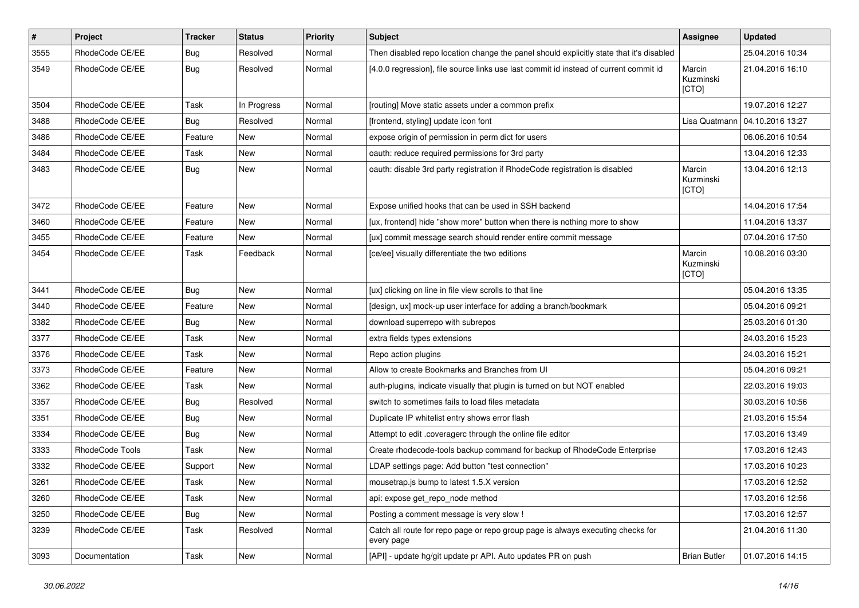| $\vert$ # | Project         | <b>Tracker</b> | <b>Status</b> | <b>Priority</b> | <b>Subject</b>                                                                                | Assignee                     | <b>Updated</b>   |
|-----------|-----------------|----------------|---------------|-----------------|-----------------------------------------------------------------------------------------------|------------------------------|------------------|
| 3555      | RhodeCode CE/EE | <b>Bug</b>     | Resolved      | Normal          | Then disabled repo location change the panel should explicitly state that it's disabled       |                              | 25.04.2016 10:34 |
| 3549      | RhodeCode CE/EE | Bug            | Resolved      | Normal          | [4.0.0 regression], file source links use last commit id instead of current commit id         | Marcin<br>Kuzminski<br>[CTO] | 21.04.2016 16:10 |
| 3504      | RhodeCode CE/EE | Task           | In Progress   | Normal          | [routing] Move static assets under a common prefix                                            |                              | 19.07.2016 12:27 |
| 3488      | RhodeCode CE/EE | Bug            | Resolved      | Normal          | [frontend, styling] update icon font                                                          | Lisa Quatmann                | 04.10.2016 13:27 |
| 3486      | RhodeCode CE/EE | Feature        | New           | Normal          | expose origin of permission in perm dict for users                                            |                              | 06.06.2016 10:54 |
| 3484      | RhodeCode CE/EE | Task           | New           | Normal          | oauth: reduce required permissions for 3rd party                                              |                              | 13.04.2016 12:33 |
| 3483      | RhodeCode CE/EE | Bug            | New           | Normal          | oauth: disable 3rd party registration if RhodeCode registration is disabled                   | Marcin<br>Kuzminski<br>[CTO] | 13.04.2016 12:13 |
| 3472      | RhodeCode CE/EE | Feature        | <b>New</b>    | Normal          | Expose unified hooks that can be used in SSH backend                                          |                              | 14.04.2016 17:54 |
| 3460      | RhodeCode CE/EE | Feature        | <b>New</b>    | Normal          | [ux, frontend] hide "show more" button when there is nothing more to show                     |                              | 11.04.2016 13:37 |
| 3455      | RhodeCode CE/EE | Feature        | New           | Normal          | [ux] commit message search should render entire commit message                                |                              | 07.04.2016 17:50 |
| 3454      | RhodeCode CE/EE | Task           | Feedback      | Normal          | [ce/ee] visually differentiate the two editions                                               | Marcin<br>Kuzminski<br>[CTO] | 10.08.2016 03:30 |
| 3441      | RhodeCode CE/EE | Bug            | <b>New</b>    | Normal          | [ux] clicking on line in file view scrolls to that line                                       |                              | 05.04.2016 13:35 |
| 3440      | RhodeCode CE/EE | Feature        | New           | Normal          | [design, ux] mock-up user interface for adding a branch/bookmark                              |                              | 05.04.2016 09:21 |
| 3382      | RhodeCode CE/EE | <b>Bug</b>     | New           | Normal          | download superrepo with subrepos                                                              |                              | 25.03.2016 01:30 |
| 3377      | RhodeCode CE/EE | Task           | New           | Normal          | extra fields types extensions                                                                 |                              | 24.03.2016 15:23 |
| 3376      | RhodeCode CE/EE | Task           | New           | Normal          | Repo action plugins                                                                           |                              | 24.03.2016 15:21 |
| 3373      | RhodeCode CE/EE | Feature        | New           | Normal          | Allow to create Bookmarks and Branches from UI                                                |                              | 05.04.2016 09:21 |
| 3362      | RhodeCode CE/EE | Task           | New           | Normal          | auth-plugins, indicate visually that plugin is turned on but NOT enabled                      |                              | 22.03.2016 19:03 |
| 3357      | RhodeCode CE/EE | Bug            | Resolved      | Normal          | switch to sometimes fails to load files metadata                                              |                              | 30.03.2016 10:56 |
| 3351      | RhodeCode CE/EE | <b>Bug</b>     | New           | Normal          | Duplicate IP whitelist entry shows error flash                                                |                              | 21.03.2016 15:54 |
| 3334      | RhodeCode CE/EE | Bug            | New           | Normal          | Attempt to edit .coveragerc through the online file editor                                    |                              | 17.03.2016 13:49 |
| 3333      | RhodeCode Tools | Task           | New           | Normal          | Create rhodecode-tools backup command for backup of RhodeCode Enterprise                      |                              | 17.03.2016 12:43 |
| 3332      | RhodeCode CE/EE | Support        | <b>New</b>    | Normal          | LDAP settings page: Add button "test connection"                                              |                              | 17.03.2016 10:23 |
| 3261      | RhodeCode CE/EE | Task           | New           | Normal          | mousetrap.js bump to latest 1.5.X version                                                     |                              | 17.03.2016 12:52 |
| 3260      | RhodeCode CE/EE | Task           | New           | Normal          | api: expose get_repo_node method                                                              |                              | 17.03.2016 12:56 |
| 3250      | RhodeCode CE/EE | <b>Bug</b>     | New           | Normal          | Posting a comment message is very slow !                                                      |                              | 17.03.2016 12:57 |
| 3239      | RhodeCode CE/EE | Task           | Resolved      | Normal          | Catch all route for repo page or repo group page is always executing checks for<br>every page |                              | 21.04.2016 11:30 |
| 3093      | Documentation   | Task           | New           | Normal          | [API] - update hg/git update pr API. Auto updates PR on push                                  | <b>Brian Butler</b>          | 01.07.2016 14:15 |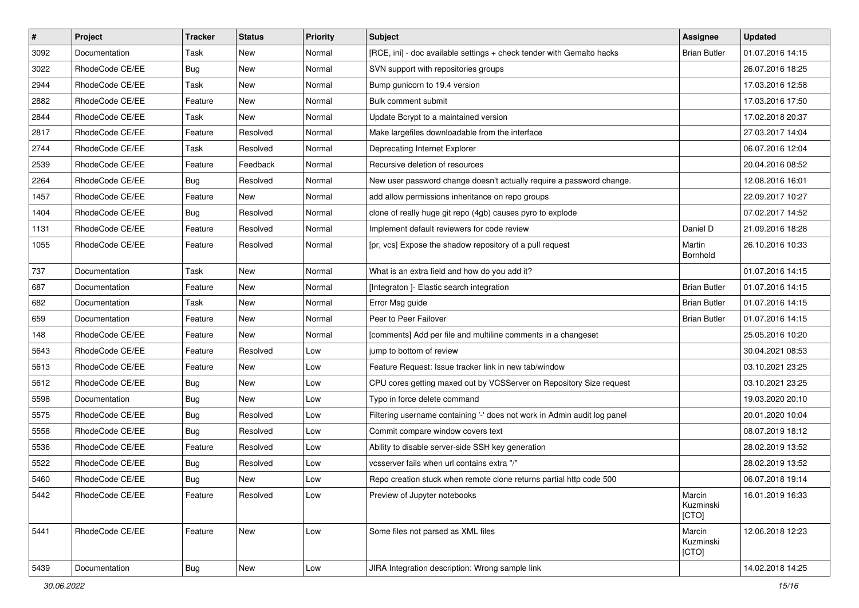| $\pmb{\#}$ | Project         | <b>Tracker</b> | <b>Status</b> | <b>Priority</b> | <b>Subject</b>                                                           | <b>Assignee</b>              | <b>Updated</b>   |
|------------|-----------------|----------------|---------------|-----------------|--------------------------------------------------------------------------|------------------------------|------------------|
| 3092       | Documentation   | Task           | New           | Normal          | [RCE, ini] - doc available settings + check tender with Gemalto hacks    | <b>Brian Butler</b>          | 01.07.2016 14:15 |
| 3022       | RhodeCode CE/EE | Bug            | <b>New</b>    | Normal          | SVN support with repositories groups                                     |                              | 26.07.2016 18:25 |
| 2944       | RhodeCode CE/EE | Task           | New           | Normal          | Bump gunicorn to 19.4 version                                            |                              | 17.03.2016 12:58 |
| 2882       | RhodeCode CE/EE | Feature        | New           | Normal          | Bulk comment submit                                                      |                              | 17.03.2016 17:50 |
| 2844       | RhodeCode CE/EE | <b>Task</b>    | <b>New</b>    | Normal          | Update Bcrypt to a maintained version                                    |                              | 17.02.2018 20:37 |
| 2817       | RhodeCode CE/EE | Feature        | Resolved      | Normal          | Make largefiles downloadable from the interface                          |                              | 27.03.2017 14:04 |
| 2744       | RhodeCode CE/EE | Task           | Resolved      | Normal          | Deprecating Internet Explorer                                            |                              | 06.07.2016 12:04 |
| 2539       | RhodeCode CE/EE | Feature        | Feedback      | Normal          | Recursive deletion of resources                                          |                              | 20.04.2016 08:52 |
| 2264       | RhodeCode CE/EE | Bug            | Resolved      | Normal          | New user password change doesn't actually require a password change.     |                              | 12.08.2016 16:01 |
| 1457       | RhodeCode CE/EE | Feature        | New           | Normal          | add allow permissions inheritance on repo groups                         |                              | 22.09.2017 10:27 |
| 1404       | RhodeCode CE/EE | Bug            | Resolved      | Normal          | clone of really huge git repo (4gb) causes pyro to explode               |                              | 07.02.2017 14:52 |
| 1131       | RhodeCode CE/EE | Feature        | Resolved      | Normal          | Implement default reviewers for code review                              | Daniel D                     | 21.09.2016 18:28 |
| 1055       | RhodeCode CE/EE | Feature        | Resolved      | Normal          | [pr, vcs] Expose the shadow repository of a pull request                 | Martin<br>Bornhold           | 26.10.2016 10:33 |
| 737        | Documentation   | Task           | New           | Normal          | What is an extra field and how do you add it?                            |                              | 01.07.2016 14:15 |
| 687        | Documentation   | Feature        | <b>New</b>    | Normal          | [Integraton ]- Elastic search integration                                | <b>Brian Butler</b>          | 01.07.2016 14:15 |
| 682        | Documentation   | Task           | New           | Normal          | Error Msg guide                                                          | <b>Brian Butler</b>          | 01.07.2016 14:15 |
| 659        | Documentation   | Feature        | <b>New</b>    | Normal          | Peer to Peer Failover                                                    | <b>Brian Butler</b>          | 01.07.2016 14:15 |
| 148        | RhodeCode CE/EE | Feature        | New           | Normal          | [comments] Add per file and multiline comments in a changeset            |                              | 25.05.2016 10:20 |
| 5643       | RhodeCode CE/EE | Feature        | Resolved      | Low             | jump to bottom of review                                                 |                              | 30.04.2021 08:53 |
| 5613       | RhodeCode CE/EE | Feature        | <b>New</b>    | Low             | Feature Request: Issue tracker link in new tab/window                    |                              | 03.10.2021 23:25 |
| 5612       | RhodeCode CE/EE | Bug            | New           | Low             | CPU cores getting maxed out by VCSServer on Repository Size request      |                              | 03.10.2021 23:25 |
| 5598       | Documentation   | Bug            | <b>New</b>    | Low             | Typo in force delete command                                             |                              | 19.03.2020 20:10 |
| 5575       | RhodeCode CE/EE | Bug            | Resolved      | Low             | Filtering username containing '-' does not work in Admin audit log panel |                              | 20.01.2020 10:04 |
| 5558       | RhodeCode CE/EE | Bug            | Resolved      | Low             | Commit compare window covers text                                        |                              | 08.07.2019 18:12 |
| 5536       | RhodeCode CE/EE | Feature        | Resolved      | Low             | Ability to disable server-side SSH key generation                        |                              | 28.02.2019 13:52 |
| 5522       | RhodeCode CE/EE | Bug            | Resolved      | Low             | vcsserver fails when url contains extra "/"                              |                              | 28.02.2019 13:52 |
| 5460       | RhodeCode CE/EE | <b>Bug</b>     | New           | Low             | Repo creation stuck when remote clone returns partial http code 500      |                              | 06.07.2018 19:14 |
| 5442       | RhodeCode CE/EE | Feature        | Resolved      | Low             | Preview of Jupyter notebooks                                             | Marcin<br>Kuzminski<br>[CTO] | 16.01.2019 16:33 |
| 5441       | RhodeCode CE/EE | Feature        | New           | Low             | Some files not parsed as XML files                                       | Marcin<br>Kuzminski<br>[CTO] | 12.06.2018 12:23 |
| 5439       | Documentation   | Bug            | New           | Low             | JIRA Integration description: Wrong sample link                          |                              | 14.02.2018 14:25 |